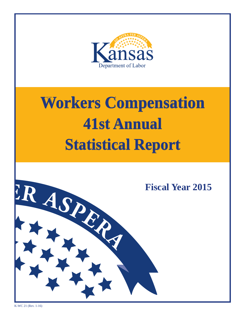

## **Workers Compensation 36th Annual 41st Annual Statistical Report Workers Compensation Statistical Report**



K-WC 21 (Rev. 1-16)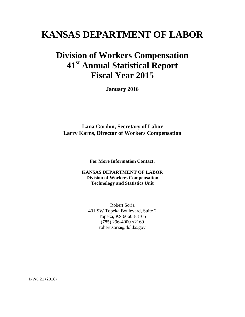### **KANSAS DEPARTMENT OF LABOR**

### **Division of Workers Compensation 41st Annual Statistical Report Fiscal Year 2015**

**January 2016** 

**Lana Gordon, Secretary of Labor Larry Karns, Director of Workers Compensation**

**For More Information Contact:** 

**KANSAS DEPARTMENT OF LABOR Division of Workers Compensation Technology and Statistics Unit** 

Robert Soria 401 SW Topeka Boulevard, Suite 2 Topeka, KS 66603-3105 (785) 296-4000 x2169 robert.soria@dol.ks.gov

K-WC 21 (2016)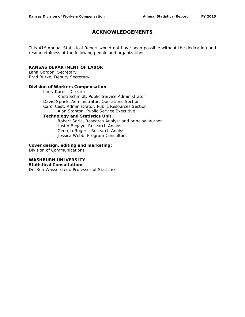#### **ACKNOWLEDGEMENTS**

This 41<sup>st</sup> Annual Statistical Report would not have been possible without the dedication and resourcefulness of the following people and organizations:

#### **KANSAS DEPARTMENT OF LABOR**

Lana Gordon, Secretary Brad Burke, Deputy Secretary

#### **Division of Workers Compensation**

Larry Karns, Director Kristi Schmidt, Public Service Administrator David Sprick, Administrator, Operations Section Carol Cast, Administrator, Public Resources Section Alan Stanton, Public Service Executive **Technology and Statistics Unit** Robert Soria, Research Analyst and principal author Justin Begaye, Research Analyst

Georgia Rogers, Research Analyst Jessica Webb, Program Consultant

#### **Cover design, editing and marketing:**

Division of Communications

#### **WASHBURN UNIVERSITY Statistical Consultation:**

Dr. Ron Wasserstein, Professor of Statistics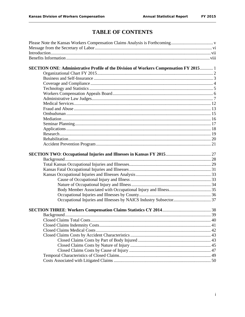### **TABLE OF CONTENTS**

| SECTION ONE: Administrative Profile of the Division of Workers Compensation FY 2015 1 |  |
|---------------------------------------------------------------------------------------|--|
|                                                                                       |  |
|                                                                                       |  |
|                                                                                       |  |
|                                                                                       |  |
|                                                                                       |  |
|                                                                                       |  |
|                                                                                       |  |
|                                                                                       |  |
|                                                                                       |  |
|                                                                                       |  |
|                                                                                       |  |
|                                                                                       |  |
|                                                                                       |  |
|                                                                                       |  |
|                                                                                       |  |
|                                                                                       |  |
|                                                                                       |  |
|                                                                                       |  |
|                                                                                       |  |
|                                                                                       |  |
|                                                                                       |  |
|                                                                                       |  |
|                                                                                       |  |
|                                                                                       |  |
|                                                                                       |  |
|                                                                                       |  |
|                                                                                       |  |
|                                                                                       |  |
|                                                                                       |  |
|                                                                                       |  |
|                                                                                       |  |
|                                                                                       |  |
|                                                                                       |  |
|                                                                                       |  |
|                                                                                       |  |
|                                                                                       |  |
|                                                                                       |  |
|                                                                                       |  |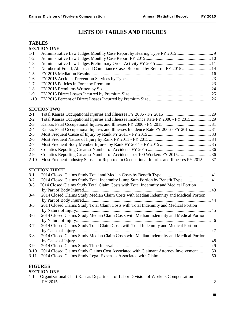### **LISTS OF TABLES AND FIGURES**

#### **TABLES SECTION ONE**

| $1-2$   |                                                                              |  |
|---------|------------------------------------------------------------------------------|--|
| $1-3$   |                                                                              |  |
| $1-4$   | Number of Fraud, Abuse and Compliance Cases Reported by Referral FY 2015  14 |  |
| $1-5$   |                                                                              |  |
| $1-6$   |                                                                              |  |
| $1 - 7$ |                                                                              |  |
| $1 - 8$ |                                                                              |  |
| $1-9$   |                                                                              |  |
|         |                                                                              |  |
|         |                                                                              |  |

#### **SECTION TWO**

| $2-1$    |                                                                                              |  |
|----------|----------------------------------------------------------------------------------------------|--|
| $2 - 2$  | Total Kansas Occupational Injuries and Illnesses Incidence Rate FY 2006 - FY 2015 29         |  |
| $2 - 3$  |                                                                                              |  |
| $2 - 4$  | Kansas Fatal Occupational Injuries and Illnesses Incidence Rate FY 2006 - FY 2015 31         |  |
| $2 - 5$  |                                                                                              |  |
| $2 - 6$  |                                                                                              |  |
| $2 - 7$  |                                                                                              |  |
| $2 - 8$  |                                                                                              |  |
| $2-9$    | Counties Reporting Greatest Number of Accidents per 100 Workers FY 2015 36                   |  |
| $2 - 10$ | Most Frequent Industry Subsector Reported in Occupational Injuries and Illnesses FY 2015  37 |  |
|          |                                                                                              |  |
|          | <b>SECTION THREE</b>                                                                         |  |
| $3 - 1$  |                                                                                              |  |
| $3-2$    | 2014 Closed Claims Study Total Indemnity Lump Sum Portion by Benefit Type  41                |  |
| $3 - 3$  | 2014 Closed Claims Study Total Claim Costs with Total Indemnity and Medical Portion          |  |
|          |                                                                                              |  |
| $3 - 4$  | 2014 Closed Claims Study Median Claim Costs with Median Indemnity and Medical Portion        |  |
|          |                                                                                              |  |
| $3 - 5$  | 2014 Closed Claims Study Total Claim Costs with Total Indemnity and Medical Portion          |  |
|          |                                                                                              |  |
| $3-6$    | 2014 Closed Claims Study Median Claim Costs with Median Indemnity and Medical Portion        |  |
|          |                                                                                              |  |
| $3 - 7$  | 2014 Closed Claims Study Total Claim Costs with Total Indemnity and Medical Portion          |  |
|          |                                                                                              |  |
| $3 - 8$  | 2014 Closed Claims Study Median Claim Costs with Median Indemnity and Medical Portion        |  |
|          |                                                                                              |  |
| $3-9$    |                                                                                              |  |
| $3-10$   | 2014 Closed Claims Study Claims Cost Associated with Claimant Attorney Involvement  50       |  |
| $3-11$   |                                                                                              |  |
|          |                                                                                              |  |

#### **FIGURES SECTION ONE**

| <u>ULUI UNU UNU</u>                                                                  |  |
|--------------------------------------------------------------------------------------|--|
| 1-1 Organizational Chart Kansas Department of Labor Division of Workers Compensation |  |
|                                                                                      |  |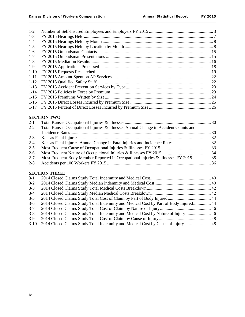| $1-2$    |  |
|----------|--|
| $1-3$    |  |
| $1-4$    |  |
| $1-5$    |  |
| $1-6$    |  |
| $1 - 7$  |  |
| $1 - 8$  |  |
| $1-9$    |  |
| $1-10$   |  |
| $1 - 11$ |  |
| $1 - 12$ |  |
|          |  |
|          |  |
|          |  |
|          |  |
|          |  |

#### **SECTION TWO**

| $2 - 1$ |                                                                                     |  |
|---------|-------------------------------------------------------------------------------------|--|
| $2 - 2$ | Total Kansas Occupational Injuries & Illnesses Annual Change in Accident Counts and |  |
|         |                                                                                     |  |
| $2 - 3$ |                                                                                     |  |
| $2 - 4$ |                                                                                     |  |
| $2 - 5$ |                                                                                     |  |
| $2-6$   |                                                                                     |  |
| $2 - 7$ |                                                                                     |  |
| $2 - 8$ |                                                                                     |  |
|         |                                                                                     |  |

#### **SECTION THREE**

| $3-1$   |                                                                                      |  |
|---------|--------------------------------------------------------------------------------------|--|
| $3-2$   |                                                                                      |  |
| $3 - 3$ |                                                                                      |  |
| $3-4$   |                                                                                      |  |
| $3 - 5$ |                                                                                      |  |
| $3-6$   | 2014 Closed Claims Study Total Indemnity and Medical Cost by Part of Body Injured 44 |  |
| $3 - 7$ |                                                                                      |  |
| $3 - 8$ | 2014 Closed Claims Study Total Indemnity and Medical Cost by Nature of Injury 46     |  |
| $3-9$   |                                                                                      |  |
| $3-10$  | 2014 Closed Claims Study Total Indemnity and Medical Cost by Cause of Injury 48      |  |
|         |                                                                                      |  |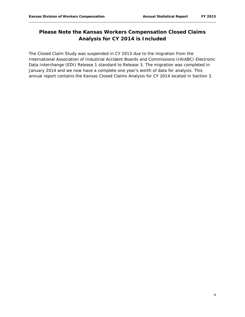#### **Please Note the Kansas Workers Compensation Closed Claims Analysis for CY 2014 is Included**

The Closed Claim Study was suspended in CY 2013 due to the migration from the International Association of Industrial Accident Boards and Commissions (IAIABC) Electronic Data Interchange (EDI) Release 1 standard to Release 3. The migration was completed in January 2014 and we now have a complete one year's worth of data for analysis. This annual report contains the Kansas Closed Claims Analysis for CY 2014 located in Section 3.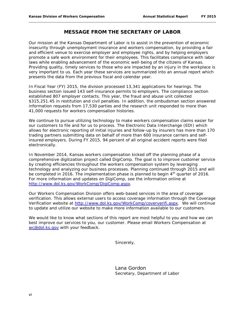#### **MESSAGE FROM THE SECRETARY OF LABOR**

Our mission at the Kansas Department of Labor is to assist in the prevention of economic insecurity through unemployment insurance and workers compensation, by providing a fair and efficient venue to exercise employer and employee rights, and by helping employers promote a safe work environment for their employees. This facilitates compliance with labor laws while enabling advancement of the economic well-being of the citizens of Kansas. Providing quality, timely services to those who are impacted by an injury in the workplace is very important to us. Each year these services are summarized into an annual report which presents the data from the previous fiscal and calendar year.

In Fiscal Year (FY) 2015, the division processed 13,341 applications for hearings. The business section issued 143 self-insurance permits to employers. The compliance section established 807 employer contacts. This year, the fraud and abuse unit collected \$315,251.45 in restitution and civil penalties. In addition, the ombudsman section answered information requests from 17,530 parties and the research unit responded to more than 41,000 requests for workers compensation histories.

We continue to pursue utilizing technology to make workers compensation claims easier for our customers to file and for us to process. The Electronic Data Interchange (EDI) which allows for electronic reporting of initial injuries and follow-up by insurers has more than 170 trading partners submitting data on behalf of more than 600 insurance carriers and selfinsured employers. During FY 2015, 94 percent of all original accident reports were filed electronically.

In November 2014, Kansas workers compensation kicked off the planning phase of a comprehensive digitization project called DigiComp. The goal is to improve customer service by creating efficiencies throughout the workers compensation system by leveraging technology and analyzing our business processes. Planning continued through 2015 and will be completed in 2016. The implementation phase is planned to begin  $4<sup>th</sup>$  quarter of 2016. For more information and updates on DigiComp, see the information online at [http://www.dol.ks.gov/WorkComp/DigiComp.aspx.](http://www.dol.ks.gov/WorkComp/DigiComp.aspx)

Our Workers Compensation Division offers web-based services in the area of coverage verification. This allows external users to access coverage information through the Coverage Verification website at [http://www.dol.ks.gov/WorkComp/coververifi.aspx.](http://www.dol.ks.gov/WorkComp/coververifi.aspx) We will continue to update and utilize our website to make more information available to our customers.

We would like to know what sections of this report are most helpful to you and how we can best improve our services to you, our customer. Please email Workers Compensation at [wc@dol.ks.gov](mailto:wc@dol.ks.gov) with your feedback.

Sincerely,

*Lana Gordon* Secretary, Department of Labor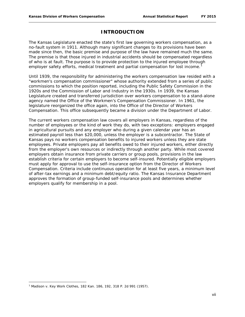#### **INTRODUCTION**

The Kansas Legislature enacted the state's first law governing workers compensation, as a no-fault system in 1911. Although many significant changes to its provisions have been made since then, the basic premise and purpose of the law have remained much the same. The premise is that those injured in industrial accidents should be compensated regardless of who is at fault. The purpose is to provide protection to the injured employee through employer safety efforts, medical treatment and partial compensation for lost income.<sup>[1](#page-9-0)</sup>

Until 1939, the responsibility for administering the workers compensation law resided with a "workmen's compensation commissioner" whose authority extended from a series of public commissions to which the position reported, including the Public Safety Commission in the 1920s and the Commission of Labor and Industry in the 1930s. In 1939, the Kansas Legislature created and transferred jurisdiction over workers compensation to a stand-alone agency named the Office of the Workmen's Compensation Commissioner. In 1961, the legislature reorganized the office again, into the Office of the Director of Workers Compensation. This office subsequently became a division under the Department of Labor.

The current workers compensation law covers all employers in Kansas, regardless of the number of employees or the kind of work they do, with two exceptions: employers engaged in agricultural pursuits and any employer who during a given calendar year has an estimated payroll less than \$20,000, unless the employer is a subcontractor. The State of Kansas pays no workers compensation benefits to injured workers unless they are state employees. Private employers pay all benefits owed to their injured workers, either directly from the employer's own resources or indirectly through another party. While most covered employers obtain insurance from private carriers or group pools, provisions in the law establish criteria for certain employers to become self-insured. Potentially eligible employers must apply for approval to use the self-insurance option from the Director of Workers Compensation. Criteria include continuous operation for at least five years, a minimum level of after-tax earnings and a minimum debt/equity ratio. The Kansas Insurance Department approves the formation of group-funded self-insurance pools and determines whether employers qualify for membership in a pool.

 $\overline{\phantom{a}}$ 

<span id="page-9-0"></span><sup>1</sup> Madison v. Key Work Clothes, 182 Kan. 186, 192, 318 P. 2d 991 (1957).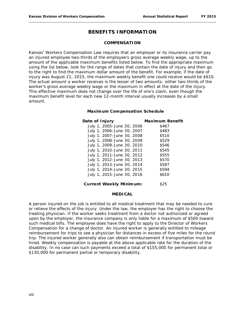#### **BENEFITS INFORMATION**

#### **COMPENSATION**

Kansas' Workers Compensation Law requires that an employer or its insurance carrier pay an injured employee two-thirds of the employee's gross average weekly wage, up to the amount of the applicable maximum benefits listed below. To find the appropriate maximum using the list below, look for the range of dates that contain the date of injury and then go to the right to find the maximum dollar amount of the benefit. For example, if the date of injury was August 21, 2015, the maximum weekly benefit one could receive would be \$610. The actual amount a worker receives is the lesser of two amounts: either two-thirds of the worker's gross average weekly wage or the maximum in effect at the date of the injury. This effective maximum does not change over the life of one's claim, even though the maximum benefit level for each new 12-month interval usually increases by a small amount.

#### **Maximum Compensation Schedule**

| Date of Injury                         | <b>Maximum Benefit</b> |
|----------------------------------------|------------------------|
| July 1, 2005-June 30, 2006             | \$467                  |
| July 1, 2006-June 30, 2007             | \$483                  |
| July 1, 2007-June 30, 2008             | \$510                  |
| July 1, 2008-June 30, 2009             | \$529                  |
| July 1, 2009-June 30, 2010             | \$546                  |
| July 1, 2010-June 30, 2011             | \$545                  |
| July 1, 2011-June 30, 2012             | \$555                  |
| July 1, 2012-June 30, 2013             | \$570                  |
| July 1, 2013-June 30, 2014             | \$587                  |
| July 1, 2014-June 30, 2015             | \$594                  |
| July 1, 2015-June 30, 2016             | \$610                  |
| $C$ urro nt $M_{\odot}$ o kly Minimumo | よつに                    |

#### **Current Weekly Minimum:** \$25

#### **MEDICAL**

A person injured on the job is entitled to all medical treatment that may be needed to cure or relieve the effects of the injury. Under the law, the employer has the right to choose the treating physician. If the worker seeks treatment from a doctor not authorized or agreed upon by the employer, the insurance company is only liable for a maximum of \$500 toward such medical bills. The employee does have the right to apply to the Director of Workers Compensation for a change of doctor. An injured worker is generally entitled to mileage reimbursement for trips to see a physician for distances in excess of five miles for the round trip. The injured worker generally also can obtain reimbursement if transportation must be hired. Weekly compensation is payable at the above applicable rate for the duration of the disability. In no case can such payments exceed a total of \$155,000 for permanent total or \$130,000 for permanent partial or temporary disability.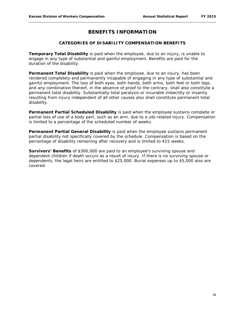#### **BENEFITS INFORMATION**

#### **CATEGORIES OF DISABILITY COMPENSATION BENEFITS**

**Temporary Total Disability** is paid when the employee, due to an injury, is unable to engage in any type of substantial and gainful employment. Benefits are paid for the duration of the disability.

**Permanent Total Disability** is paid when the employee, due to an injury, has been rendered completely and permanently incapable of engaging in any type of substantial and gainful employment. The loss of both eyes, both hands, both arms, both feet or both legs, and any combination thereof, in the absence of proof to the contrary, shall also constitute a permanent total disability. Substantially total paralysis or incurable imbecility or insanity resulting from injury independent of all other causes also shall constitute permanent total disability.

**Permanent Partial Scheduled Disability** is paid when the employee sustains complete or partial loss of use of a body part, such as an arm, due to a job-related injury. Compensation is limited to a percentage of the scheduled number of weeks.

**Permanent Partial General Disability** is paid when the employee sustains permanent partial disability not specifically covered by the schedule. Compensation is based on the percentage of disability remaining after recovery and is limited to 415 weeks.

**Survivors' Benefits** of \$300,000 are paid to an employee's surviving spouse and dependent children if death occurs as a result of injury. If there is no surviving spouse or dependents, the legal heirs are entitled to \$25,000. Burial expenses up to \$5,000 also are covered.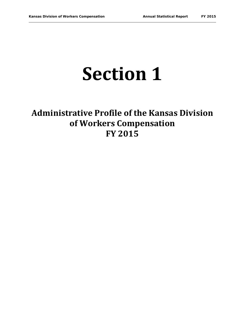## **Section 1**

## **Administrative Profile of the Kansas Division of Workers Compensation FY 2015**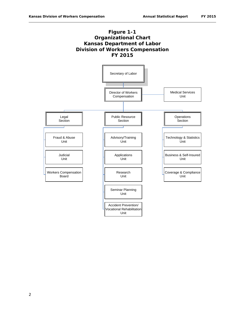#### **Figure 1-1 Organizational Chart Kansas Department of Labor Division of Workers Compensation FY 2015**

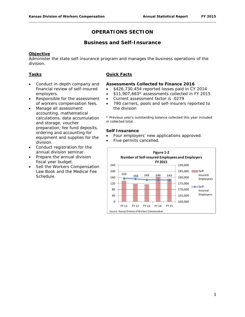#### **OPERATIONS SECTION**

#### **Business and Self-Insurance**

#### **Objective**

Administer the state self-insurance program and manages the business operations of the division.

#### **Tasks**

- Conduct in-depth company and financial review of self-insured employers.
- Responsible for the assessment of workers compensation fees.
- Manage all assessment accounting, mathematical calculations, data accumulation and storage, voucher preparation, fee fund deposits, ordering and accounting for equipment and supplies for the division.
- Conduct registration for the annual division seminar.
- Prepare the annual division fiscal year budget.
- Sell the Workers Compensation Law Book and the Medical Fee Schedule.

#### **Quick Facts**

#### **Assessments Collected to Finance 2016**

- \$426,730,454 reported losses paid in CY 2014
- \$11,907,663\* assessments collected in FY 2015
- Current assessment factor is .0279
- 790 carriers, pools and self-insurers reported to the division

\* Previous year's outstanding balance collected this year included in collected total.

#### **Self Insurance**

- Four employers' new applications approved.
- Five permits cancelled.

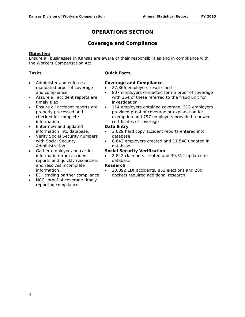#### **OPERATIONS SECTION**

#### **Coverage and Compliance**

#### **Objective**

Ensure all businesses in Kansas are aware of their responsibilities and in compliance with the Workers Compensation Act.

#### **Tasks**

- Administer and enforces mandated proof of coverage and compliance.
- Assure all accident reports are timely filed.
- Ensure all accident reports are properly processed and checked for complete information.
- Enter new and updated information into database.
- Verify Social Security numbers with Social Security Administration.
- Gather employer and carrier information from accident reports and quickly researches and resolves incomplete information.
- EDI trading partner compliance
- NCCI proof of coverage timely reporting compliance.

#### **Quick Facts**

#### **Coverage and Compliance**

- 27,866 employers researched
- 807 employers contacted for no proof of coverage with 364 of these referred to the fraud unit for investigation
- 114 employers obtained coverage, 312 employers provided proof of coverage or explanation for exemption and 797 employers provided renewed certificates of coverage

#### **Data Entry**

- 3,029 hard copy accident reports entered into database
- 8,642 employers created and 11,548 updated in database

#### **Social Security Verification**

• 2,842 claimants created and 30,312 updated in database

#### **Research**

• 28,892 EDI accidents, 853 elections and 280 dockets required additional research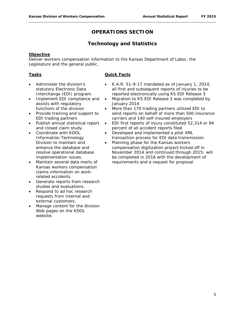#### **OPERATIONS SECTION**

#### **Technology and Statistics**

#### **Objective**

Deliver workers compensation information to the Kansas Department of Labor, the Legislature and the general public.

#### **Tasks**

- Administer the division's statutory Electronic Data Interchange (EDI) program.
- Implement EDI compliance and assists with regulatory functions of the division
- Provide training and support to EDI trading partners
- Publish annual statistical report and closed claim study.
- Coordinate with KDOL Information Technology Division to maintain and enhance the database and resolve operational database implementation issues.
- Maintain several data marts of Kansas workers compensation claims information on workrelated accidents.
- Generate reports from research studies and evaluations.
- Respond to ad hoc research requests from internal and external customers.
- Manage content for the division Web pages on the KDOL website.

#### **Quick Facts**

- K.A.R. 51-9-17 mandated as of January 1, 2014, all first and subsequent reports of injuries to be reported electronically using KS EDI Release 3
- Migration to KS EDI Release 3 was completed by January 2014
- More than 170 trading partners utilized EDI to send reports on behalf of more than 500 insurance carriers and 140 self-insured employers
- EDI first reports of injury constituted 52,314 or 94 percent of all accident reports filed
- Developed and implemented a pilot XML transaction process for EDI data transmission
- Planning phase for the Kansas workers compensation digitization project kicked off in November 2014 and continued through 2015; will be completed in 2016 with the development of requirements and a request for proposal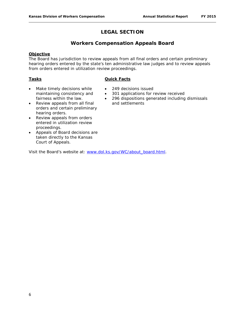#### **LEGAL SECTION**

#### **Workers Compensation Appeals Board**

#### **Objective**

The Board has jurisdiction to review appeals from all final orders and certain preliminary hearing orders entered by the state's ten administrative law judges and to review appeals from orders entered in utilization review proceedings.

#### **Tasks**

#### **Quick Facts**

- Make timely decisions while maintaining consistency and fairness within the law.
- Review appeals from all final orders and certain preliminary hearing orders.
- Review appeals from orders entered in utilization review proceedings.
- Appeals of Board decisions are taken directly to the Kansas Court of Appeals.

Visit the Board's website at: [www.dol.ks.gov/WC/about\\_board.html.](http://www.dol.ks.gov/WC/about_board.html)

- 249 decisions issued
- 301 applications for review received
- 296 dispositions generated including dismissals and settlements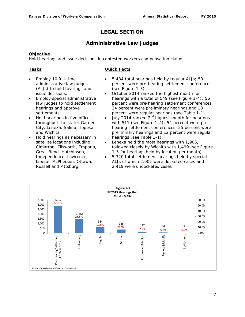#### **LEGAL SECTION**

#### **Administrative Law Judges**

#### **Objective**

Hold hearings and issue decisions in contested workers compensation claims.

#### **Tasks**

#### **Quick Facts**

- Employ 10 full-time administrative law judges (ALJs) to hold hearings and issue decisions.
- Employ special administrative law judges to hold settlement hearings and approve settlements.
- Hold hearings in five offices throughout the state: Garden City, Lenexa, Salina, Topeka and Wichita.
- Hold hearings as necessary in satellite locations including Cimarron, Ellsworth, Emporia, Great Bend, Hutchinson, Independence, Lawrence, Liberal, McPherson, Ottawa, Russell and Pittsburg.
- 5,484 total hearings held by regular ALJs; 53 percent were pre-hearing settlement conferences (see Figure 1-3)
- October 2014 ranked the highest month for hearings with a total of 549 (see Figure 1-4); 56 percent were pre-hearing settlement conferences, 24 percent were preliminary hearings and 10 percent were regular hearings (see Table 1-1).
- July 2014 ranked  $2<sup>nd</sup>$  highest month for hearings with 511 (see Figure 1-4); 54 percent were prehearing settlement conferences, 25 percent were preliminary hearings and 12 percent were regular hearings (see Table 1-1).
- Lenexa held the most hearings with 1,905, followed closely by Wichita with 1,499 (see Figure 1-5 for hearings held by location per month)
- 5,320 total settlement hearings held by special ALJs of which 2,901 were docketed cases and 2,419 were undocketed cases

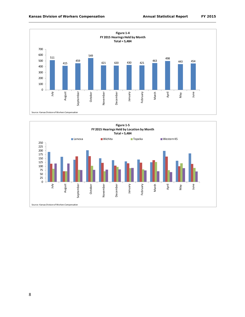

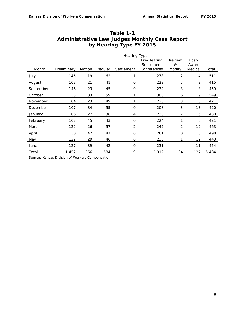|           | <b>Hearing Type</b>                                                                                                                              |     |     |                |       |                |     |       |  |  |  |
|-----------|--------------------------------------------------------------------------------------------------------------------------------------------------|-----|-----|----------------|-------|----------------|-----|-------|--|--|--|
| Month     | Review<br>Post-<br>Pre-Hearing<br>Settlement<br>&<br>Award<br>Modify<br>Medical<br>Motion<br>Regular<br>Settlement<br>Conferences<br>Preliminary |     |     |                |       |                |     |       |  |  |  |
| July      | 145                                                                                                                                              | 19  | 62  |                | 278   | 2              | 4   | 511   |  |  |  |
| August    | 108                                                                                                                                              | 21  | 41  | O              | 229   | 7              | 9   | 415   |  |  |  |
| September | 146                                                                                                                                              | 23  | 45  | $\mathbf 0$    | 234   | 3              | 8   | 459   |  |  |  |
| October   | 133                                                                                                                                              | 33  | 59  |                | 308   | 6              | 9   | 549   |  |  |  |
| November  | 104                                                                                                                                              | 23  | 49  |                | 226   | 3              | 15  | 421   |  |  |  |
| December  | 107                                                                                                                                              | 34  | 55  | $\mathbf{O}$   | 208   | 3              | 13  | 420   |  |  |  |
| January   | 106                                                                                                                                              | 27  | 38  | 4              | 238   | $\overline{2}$ | 15  | 430   |  |  |  |
| February  | 102                                                                                                                                              | 45  | 43  | $\mathbf{O}$   | 224   | 1              | 6   | 421   |  |  |  |
| March     | 122                                                                                                                                              | 26  | 57  | $\overline{2}$ | 242   | $\overline{2}$ | 12  | 463   |  |  |  |
| April     | 130                                                                                                                                              | 47  | 47  | $\mathbf{O}$   | 261   | $\mathbf{O}$   | 13  | 498   |  |  |  |
| May       | 122                                                                                                                                              | 29  | 46  | $\mathbf 0$    | 233   | 1              | 12  | 443   |  |  |  |
| June      | 127                                                                                                                                              | 39  | 42  | O              | 231   | 4              | 11  | 454   |  |  |  |
| Total     | 1,452                                                                                                                                            | 366 | 584 | 9              | 2,912 | 34             | 127 | 5,484 |  |  |  |

**Table 1-1 Administrative Law Judges Monthly Case Report by Hearing Type FY 2015**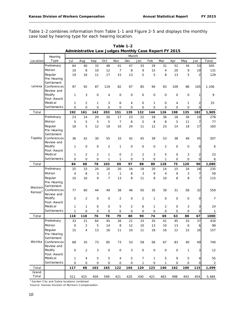Table 1-2 combines information from Table 1-1 and Figure 2-5 and displays the monthly case load by hearing type for each hearing location.

|                     | Hearing                   | Month               |                |                |                |                     |                |                |             |                |     |                |                         |                |
|---------------------|---------------------------|---------------------|----------------|----------------|----------------|---------------------|----------------|----------------|-------------|----------------|-----|----------------|-------------------------|----------------|
| Location            | Type                      | Jul                 | Aug            | Sep            | Oct            | Nov                 | Dec            | Jan            | Feb         | Mar            | Apr | May            | Jun                     | Total          |
|                     | Preliminary               | 64                  | 40             | 33             | 48             | 41                  | 47             | 33             | 29          | 31             | 52  | 34             | 53                      | 505            |
|                     | Motion                    | 10                  | 8              | 10             | 12             | 7                   | 8              | 9              | 15          | 4              | 20  | 9              | 19                      | 131            |
|                     | Regular                   | 19                  | 16             | 11             | 17             | 15                  | 13             | 5              | 5           | 8              | 13  | 5              | 2                       | 129            |
|                     | Pre-Hearing               |                     |                |                |                |                     |                |                |             |                |     |                |                         |                |
|                     | Settlement                |                     |                |                |                |                     |                |                |             |                |     |                |                         |                |
| Lenexa              | Conferences               | 97                  | 92             | 87             | 119            | 82                  | 67             | 85             | 94          | 83             | 109 | 86             | 105                     | 1,106          |
|                     | Review and                |                     |                |                |                |                     |                |                |             |                |     |                |                         |                |
|                     | Modify                    | 1                   | 3              | 0              | 4              | 0                   | $\mathbf 0$    | 0              | $\mathbf 0$ | $\mathbf 0$    | 0   | 0              | 1                       | 9              |
|                     | Post-Award                |                     |                |                |                |                     |                |                |             |                |     |                |                         |                |
|                     | Medical<br>Settlements    | 1                   | $\overline{2}$ | 1              | 3              | 6                   | 4              | $\mathbf 0$    | 1           | $\mathbf 0$    | 4   | 1              | 2                       | 25             |
|                     |                           | 0                   | $\mathbf 0$    | $\mathbf 0$    | $\mathbf 0$    | $\mathbf 0$         | $\mathbf 0$    | $\mathbf 0$    | 0           | $\overline{O}$ | O   | $\overline{O}$ | $\overline{O}$          |                |
| Total               |                           | 192                 | 161            | 142            | 203            | 151                 | 139            | 132            | 144         | 126            | 198 | 135            | 182                     | 1,905          |
|                     | Preliminary               | 23                  | 14             | 29             | 20             | 17                  | 23             | 22             | 18          | 36             | 18  | 39             | 19                      | 278            |
|                     | Motion                    | 5                   | 5              | 5              | 5              | 7                   | 6              | 5              | 8           | 8              | 5   | 11             | $\overline{7}$          | 77             |
|                     | Regular                   | 18                  | 5              | 12             | 19             | 10                  | 24             | 11             | 12          | 23             | 14  | 18             | 17                      | 183            |
|                     | Pre-Hearing               |                     |                |                |                |                     |                |                |             |                |     |                |                         |                |
| Topeka              | Settlement<br>Conferences |                     |                |                |                |                     |                |                |             |                |     |                |                         |                |
|                     | Review and                | 36                  | 42             | 30             | 55             | 33                  | 42             | 45             | 39          | 53             | 38  | 49             | 45                      | 507            |
|                     | Modify                    | 1                   | 0              | 0              | $\overline{2}$ | 1                   | $\mathbf 0$    | 0              | 0           | $\overline{2}$ | 0   | 0              | $\overline{O}$          | 6              |
|                     | Post-Award                |                     |                |                |                |                     |                |                |             |                |     |                |                         |                |
|                     | Medical                   | 1                   | 2              | $\overline{c}$ | 1              | 0                   | 2              | $\overline{2}$ | 3           | 5              | 0   | 3              | $\overline{\mathbf{c}}$ | 23             |
|                     | Settlements               | 0                   | 0              | $\mathbf{O}$   | 1              | 1                   | 0              | 3              | 0           | 1              | 0   | 0              | O                       | 6              |
| Total               |                           | 84                  | 68             | 78             | 103            | 69                  | 97             | 88             | 80          | 128            | 75  | 120            | 90                      | 1,080          |
|                     | Preliminary               | 25                  | 33             | 20             | 20             | 20                  | 16             | 18             | 20          | 14             | 15  | 16             | 18                      | 235            |
|                     | Motion                    | 4                   | 6              | 3              | $\overline{2}$ | 1                   | 8              | 3              | 9           | $\overline{4}$ | 9   | 3              | 7                       | 59             |
|                     | Regular                   | 10                  | 16             | 9              | $\overline{7}$ | 13                  | 8              | 11             | 8           | 10             | 8   | 8              | 7                       | 115            |
|                     | Pre-Hearing               |                     |                |                |                |                     |                |                |             |                |     |                |                         |                |
| Western             | Settlement                |                     |                |                |                |                     |                |                |             |                |     |                |                         |                |
| Kansas <sup>1</sup> | Conferences               | 77                  | 60             | 44             | 49             | 38                  | 46             | 50             | 35          | 39             | 31  | 58             | 32                      | 559            |
|                     | Review and                |                     |                |                |                |                     |                |                |             |                |     |                |                         |                |
|                     | Modify                    | 0                   | 2              | 0              | $\mathbf 0$    | 2                   | $\mathbf 0$    | 2              | 1           | $\mathbf 0$    | 0   | 0              | 0                       | 7              |
|                     | Post-Award                |                     |                |                |                |                     |                |                |             |                |     |                |                         |                |
|                     | Medical                   | 1                   | 1              | 0              | 0              | 5                   | $\overline{2}$ | 6              | 1           | $\overline{2}$ | 0   | 3              | 3                       | 24             |
|                     | Settlements               | 1                   | 0              | 0              | 0              | 0                   | 0              | $\mathbf{O}$   | 0           | 0              | 0   | 0              | $\mathsf{O}$            | $\mathbf{1}$   |
| Total               |                           | 118                 | 118            | 76             | 78             | 79                  | 80             | 90             | 74          | 69             | 63  | 88             | 67                      | 1000           |
|                     | Preliminary               | 33                  | 21             | 64             | 45             | 26                  | 21             | 33             | 35          | 41             | 45  | 33             | 37                      | 434            |
|                     | Motion                    | $\mathsf{O}\xspace$ | $\overline{2}$ | 5              | 14             | 8                   | 12             | 10             | 13          | 10             | 13  | 6              | 6                       | 99             |
|                     | Regular                   | 15                  | 4              | 13             | 16             | 11                  | 10             | 11             | 18          | 16             | 12  | 15             | 16                      | 157            |
|                     | Pre-Hearing               |                     |                |                |                |                     |                |                |             |                |     |                |                         |                |
| Wichita             | Settlement<br>Conferences |                     |                |                |                |                     |                |                |             |                |     |                |                         |                |
|                     | Review and                | 68                  | 35             | 73             | 85             | 73                  | 53             | 58             | 56          | 67             | 83  | 40             | 49                      | 740            |
|                     | Modify                    | 0                   | $\overline{2}$ | 3              | $\mathsf O$    | $\mathsf{O}\xspace$ | 3              | 0              | $\mathsf O$ | 0              | 0   | $\mathbf{1}$   | 3                       | 12             |
|                     | Post-Award                |                     |                |                |                |                     |                |                |             |                |     |                |                         |                |
|                     | Medical                   | 1                   | 4              | 5              | 5              | 4                   | 5              | 7              | 1           | 5              | 9   | 5              | 4                       | 55             |
|                     | Settlements               | 0                   | 0              | 0              | 0              | 0                   | 0              | $\mathbf{1}$   | $\mathsf O$ | $\mathbf{1}$   | 0   | 0              | O                       | $\overline{2}$ |
| Total               |                           | 117                 | 68             | 163            | 165            | 122                 | 104            | 120            | 123         | 140            | 162 | 100            | 115                     | 1,499          |
| Grand               |                           |                     |                |                |                |                     |                |                |             |                |     |                |                         |                |
| Total               |                           | 511                 | 415            | 459            | 549            | 421                 | 420            | 430            | 421         | 463            | 498 | 443            | 454                     | 5,484          |

**Table 1-2 Administrative Law Judges Monthly Case Report FY 2015**

<sup>1</sup> Garden City and Salina locations combined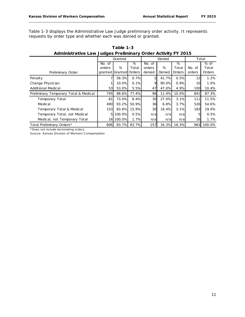Table 1-3 displays the Administrative Law Judge preliminary order activity. It represents requests by order type and whether each was denied or granted.

|                                       |         | Granted |        |                 | Denied | Total  |        |            |
|---------------------------------------|---------|---------|--------|-----------------|--------|--------|--------|------------|
|                                       | No. of  |         | %      | No. of          |        | %      |        | % of       |
|                                       | orders  | %       | Total  | orders          | %      | Total  | No. of | Total      |
| Preliminary Order                     | granted | Granted | Orders | denied          | Denied | Orders | orders | Orders     |
| Penalty                               |         | 58.3%   | 0.7%   | 5               | 41.7%  | 0.5%   | 12     | 1.2%       |
| Change Physician                      |         | 10.0%   | 0.1%   | 9               | 90.0%  | 0.9%   | 10     | 1.0%       |
| <b>Additional Medical</b>             | 53      | 53.0%   | 5.5%   | 47              | 47.0%  | 4.9%   | 100    | 10.4%      |
| Preliminary Temporary Total & Medical | 745     | 88.6%   | 77.4%  | 96              | 11.4%  | 10.0%  | 841    | 87.3%      |
| Temporary Total                       | 81      | 73.0%   | 8.4%   | 30              | 27.0%  | 3.1%   | 111    | 11.5%      |
| Medical                               | 490     | 93.2%   | 50.9%  | 36              | 6.8%   | 3.7%   | 526    | 54.6%      |
| Temporary Total & Medical             | 153     | 83.6%   | 15.9%  | 30 <sup>l</sup> | 16.4%  | 3.1%   | 183    | 19.0%      |
| Temporary Total, not Medical          | 5       | 100.0%  | 0.5%   | n/a             | n/a    | n/a    | 5      | 0.5%       |
| Medical, not Temporary Total          | 16      | 100.0%  | 1.7%   | n/a             | n/a    | n/a    | 16     | 1.7%       |
| Total Preliminary Orders*             | 806     | 83.7%   | 83.7%  | 157             | 16.3%  | 16.3%  |        | 963 100.0% |

**Table 1-3 Administrative Law Judges Preliminary Order Activity FY 2015**

\*Does not include terminating orders.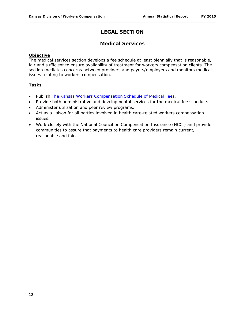#### **LEGAL SECTION**

#### **Medical Services**

#### **Objective**

The medical services section develops a fee schedule at least biennially that is reasonable, fair and sufficient to ensure availability of treatment for workers compensation clients. The section mediates concerns between providers and payers/employers and monitors medical issues relating to workers compensation.

#### **Tasks**

- Publish *[The Kansas Workers Compensation Schedule of Medical Fees](http://www.dol.ks.gov/Files/PDF/KWC300.pdf)*.
- Provide both administrative and developmental services for the medical fee schedule.
- Administer utilization and peer review programs.
- Act as a liaison for all parties involved in health care-related workers compensation issues.
- Work closely with the National Council on Compensation Insurance (NCCI) and provider communities to assure that payments to health care providers remain current, reasonable and fair.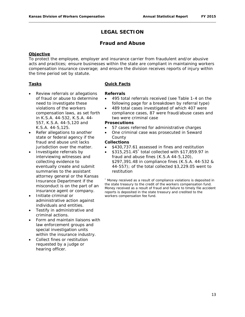#### **LEGAL SECTION**

#### **Fraud and Abuse**

#### **Objective**

To protect the employee, employer and insurance carrier from fraudulent and/or abusive acts and practices; ensure businesses within the state are compliant in maintaining workers compensation insurance coverage; and ensure the division receives reports of injury within the time period set by statute.

#### **Tasks**

- Review referrals or allegations of fraud or abuse to determine need to investigate these violations of the workers compensation laws, as set forth in K.S.A. 44-532, K.S.A. 44- 557, K.S.A. 44-5,120 and K.S.A. 44-5,125.
- Refer allegations to another state or federal agency if the fraud and abuse unit lacks jurisdiction over the matter.
- Investigate referrals by interviewing witnesses and collecting evidence to eventually create and submit summaries to the assistant attorney general or the Kansas Insurance Department if the misconduct is on the part of an insurance agent or company.
- Initiate criminal or administrative action against individuals and entities.
- Testify in administrative and criminal actions.
- Form and maintain liaisons with law enforcement groups and special investigation units within the insurance industry.
- Collect fines or restitution requested by a judge or hearing officer.

#### **Quick Facts**

#### **Referrals**

- 495 total referrals received (see Table 1-4 on the following page for a breakdown by referral type)
- 489 total cases investigated of which 407 were compliance cases, 87 were fraud/abuse cases and two were criminal case

#### **Prosecutions**

- 57 cases referred for administrative charges
- One criminal case was prosecuted in Seward County

#### **Collections**

- \$430,737.61 assessed in fines and restitution
- \$315,251.45\* total collected with \$17,859.97 in fraud and abuse fines (K.S.A 44-5,120), \$297,391.48 in compliance fines (K.S.A. 44-532 & 44-557); of the total collected \$3,229.05 went to restitution

\* Money received as a result of compliance violations is deposited in the state treasury to the credit of the workers compensation fund. Money received as a result of fraud and failure to timely file accident reports is deposited in the state treasury and credited to the workers compensation fee fund.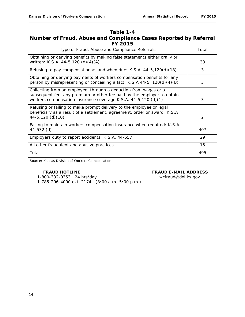#### **Table 1-4 Number of Fraud, Abuse and Compliance Cases Reported by Referral FY 2015**

| Type of Fraud, Abuse and Compliance Referrals                                                                                                                                                                 | Total |
|---------------------------------------------------------------------------------------------------------------------------------------------------------------------------------------------------------------|-------|
| Obtaining or denying benefits by making false statements either orally or<br>written: K.S.A. 44-5,120 (d)(4)(A)                                                                                               | 33    |
| Refusing to pay compensation as and when due: K.S.A. $44-5,120(d)(18)$                                                                                                                                        | 3     |
| Obtaining or denying payments of workers compensation benefits for any<br>person by misrepresenting or concealing a fact; K.S.A 44-5, 120(d)(4)(B)                                                            | 3     |
| Collecting from an employee, through a deduction from wages or a<br>subsequent fee, any premium or other fee paid by the employer to obtain<br>workers compensation insurance coverage K.S.A. 44-5,120 (d)(1) | 3     |
| Refusing or failing to make prompt delivery to the employee or legal<br>beneficiary as a result of a settlement, agreement, order or award; K.S.A<br>$44-5, 120$ (d) (10)                                     | 2     |
| Failing to maintain workers compensation insurance when required: K.S.A.<br>44-532 (d)                                                                                                                        | 407   |
| Employers duty to report accidents: K.S.A. 44-557                                                                                                                                                             | 29    |
| All other fraudulent and abusive practices                                                                                                                                                                    | 15    |
| Total                                                                                                                                                                                                         | 495   |

Source: Kansas Division of Workers Compensation

#### **FRAUD HOTLINE FRAUD E-MAIL ADDRESS**

 1-800-332-0353 24 hrs/day wcfraud@dol.ks.gov 1-785-296-4000 ext. 2174 (8:00 a.m.-5:00 p.m.)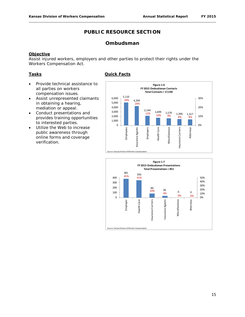#### **Ombudsman**

#### **Objective**

Assist injured workers, employers and other parties to protect their rights under the Workers Compensation Act.

#### **Tasks**

- Provide technical assistance to all parties on workers compensation issues.
- Assist unrepresented claimants in obtaining a hearing, mediation or appeal.
- Conduct presentations and provides training opportunities to interested parties.
- Utilize the Web to increase public awareness through online forms and coverage verification.





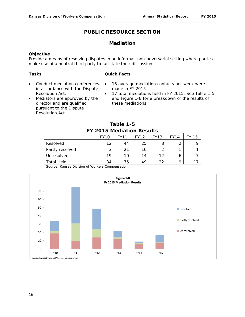#### **Mediation**

#### **Objective**

Provide a means of resolving disputes in an informal, non-adversarial setting where parties make use of a neutral third party to facilitate their discussion.

#### **Tasks**

#### **Quick Facts**

- Conduct mediation conferences in accordance with the Dispute Resolution Act.
- Mediators are approved by the director and are qualified pursuant to the Dispute Resolution Act.
- 15 average mediation contacts per week were made in FY 2015
- 17 total mediations held in FY 2015. See Table 1-5 and Figure 1-8 for a breakdown of the results of these mediations

|  | Table 1-5                 |  |
|--|---------------------------|--|
|  | FY 2015 Mediation Results |  |

|                   | <b>FY10</b> | <b>FY11</b> | <b>FY12</b> | <b>FY13</b> | <b>FY14</b>              | 15 |
|-------------------|-------------|-------------|-------------|-------------|--------------------------|----|
| Resolved          | 12          | 44          | 25          | 8           | $\overline{\phantom{0}}$ |    |
| Partly resolved   | C<br>د      | 21          | 10          | ◠           |                          |    |
| Unresolved        | 19          | 10          | 14          | 12          | 6                        |    |
| <b>Total Held</b> | 34          | 75          | 49          | 22          | a                        |    |

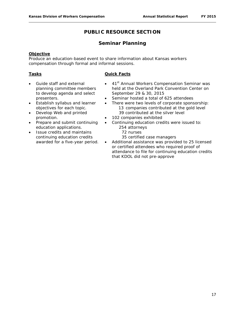#### **Seminar Planning**

#### **Objective**

Produce an education-based event to share information about Kansas workers compensation through formal and informal sessions.

#### **Tasks**

#### **Quick Facts**

- Guide staff and external planning committee members to develop agenda and select presenters.
- Establish syllabus and learner objectives for each topic.
- Develop Web and printed promotion.
- Prepare and submit continuing education applications.
- Issue credits and maintains continuing education credits awarded for a five-year period.
- 41<sup>st</sup> Annual Workers Compensation Seminar was held at the Overland Park Convention Center on September 29 & 30, 2015
- Seminar hosted a total of 625 attendees
- There were two levels of corporate sponsorship: 13 companies contributed at the gold level 39 contributed at the silver level
- 102 companies exhibited
- Continuing education credits were issued to: 254 attorneys
	- 72 nurses
	- 35 certified case managers
- Additional assistance was provided to 25 licensed or certified attendees who required proof of attendance to file for continuing education credits that KDOL did not pre-approve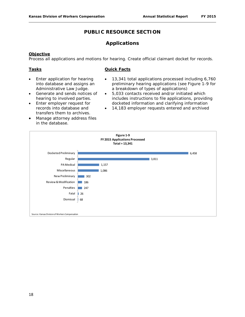#### **Applications**

#### **Objective**

Process all applications and motions for hearing. Create official claimant docket for records.

#### **Tasks**

#### **Quick Facts**

- Enter application for hearing into database and assigns an Administrative Law Judge.
- Generate and sends notices of hearing to involved parties.
- Enter employer request for records into database and transfers them to archives.
- Manage attorney address files in the database.
- 13,341 total applications processed including 6,760 preliminary hearing applications (see Figure 1-9 for a breakdown of types of applications)
- 5,033 contacts received and/or initiated which includes instructions to file applications, providing docketed information and clarifying information
- 14,183 employer requests entered and archived

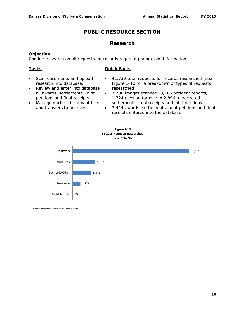#### **Research**

#### **Objective**

Conduct research on all requests for records regarding prior claim information.

#### **Tasks**

#### **Quick Facts**

- Scan documents and upload research into database. Review and enter into database
- 41,730 total requests for records researched (see Figure 1-10 for a breakdown of types of requests researched)
- 7,786 images scanned: 3,166 accident reports, 1,724 election forms and 2,896 undocketed settlements, final receipts and joint petitions
- petitions and final receipts. • Manage docketed claimant files and transfers to archives.

all awards, settlements, joint

• 7,414 awards, settlements, joint petitions and final receipts entered into the database

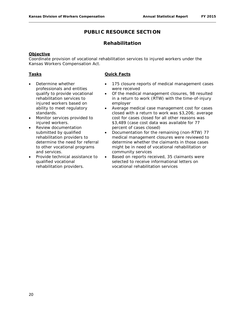#### **Rehabilitation**

#### **Objective**

Coordinate provision of vocational rehabilitation services to injured workers under the Kansas Workers Compensation Act.

#### **Tasks**

- Determine whether professionals and entities qualify to provide vocational rehabilitation services to injured workers based on ability to meet regulatory standards.
- Monitor services provided to injured workers.
- Review documentation submitted by qualified rehabilitation providers to determine the need for referral to other vocational programs and services.
- Provide technical assistance to qualified vocational rehabilitation providers.

#### **Quick Facts**

- 175 closure reports of medical management cases were received
- Of the medical management closures, 98 resulted in a return to work (RTW) with the time-of-injury employer
- Average medical case management cost for cases closed with a return to work was \$3,206; average cost for cases closed for all other reasons was \$3,489 (case cost data was available for 77 percent of cases closed)
- Documentation for the remaining (non-RTW) 77 medical management closures were reviewed to determine whether the claimants in those cases might be in need of vocational rehabilitation or community services
- Based on reports received, 35 claimants were selected to receive informational letters on vocational rehabilitation services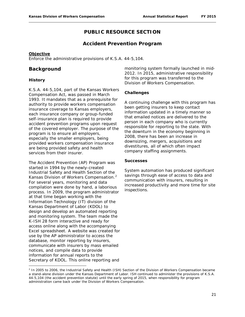#### **Accident Prevention Program**

#### **Objective**

Enforce the administrative provisions of K.S.A. 44-5,104.

#### **Background**

#### **History**

l

K.S.A. 44-5,104, part of the Kansas Workers Compensation Act, was passed in March 1993. It mandates that as a prerequisite for authority to provide workers compensation insurance coverage to Kansas employers, each insurance company or group-funded self-insurance plan is required to provide accident prevention programs upon request of the covered employer. The purpose of the program is to ensure all employers, especially the smaller employers, being provided workers compensation insurance are being provided safety and health services from their insurer.

The Accident Prevention (AP) Program was started in 1994 by the newly-created Industrial Safety and Health Section of the Kansas Division of Workers Compensation.[2](#page-33-0) For several years, monitoring and data compilation were done by hand, a laborious process. In 2009, the program administrator at that time began working with the Information Technology (IT) division of the Kansas Department of Labor (KDOL) to design and develop an automated reporting and monitoring system. The team made the K-ISH 28 form interactive and ready for access online along with the accompanying Excel spreadsheet. A website was created for use by the AP administrator to access the database, monitor reporting by insurers, communicate with insurers by mass emailed notices, and compile data to provide information for annual reports to the Secretary of KDOL. This online reporting and

monitoring system formally launched in mid-2012. In 2015, administrative responsibility for this program was transferred to the Division of Workers Compensation.

#### **Challenges**

A continuing challenge with this program has been getting insurers to keep contact information updated in a timely manner so that emailed notices are delivered to the person in each company who is currently responsible for reporting to the state. With the downturn in the economy beginning in 2008, there has been an increase in downsizing, mergers, acquisitions and divestitures, all of which often impact company staffing assignments.

#### **Successes**

System automation has produced significant savings through ease of access to data and communication with insurers, resulting in increased productivity and more time for site inspections.

<span id="page-33-0"></span><sup>&</sup>lt;sup>2</sup> In 2005 to 2006, the Industrial Safety and Health (ISH) Section of the Division of Workers Compensation became a stand-alone division under the Kansas Department of Labor. ISH continued to administer the provisions of K.S.A. 44-5,104 (the accident prevention statute) until the early spring of 2015, when responsibility for program administration came back under the Division of Workers Compensation.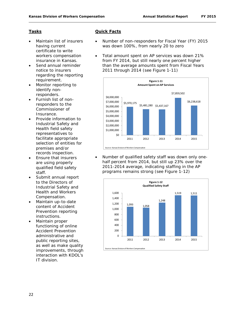#### **Tasks**

- Maintain list of insurers having current certificate to write workers compensation insurance in Kansas.
- Send annual reminder notice to insurers regarding the reporting requirement.
- Monitor reporting to identify nonresponders.
- Furnish list of nonresponders to the Commissioner of Insurance.
- Provide information to Industrial Safety and Health field safety representatives to facilitate appropriate selection of entities for premises and/or records inspection.
- Ensure that insurers are using properly qualified field safety staff.
- Submit annual report to the Directors of Industrial Safety and Health and Workers Compensation.
- Maintain up-to-date content of Accident Prevention reporting instructions.
- Maintain proper functioning of online Accident Prevention administrative and public reporting sites, as well as make quality improvements, through interaction with KDOL's IT division.

#### **Quick Facts**

- Number of non-responders for Fiscal Year (FY) 2015 was down 100%, from nearly 20 to zero
- Total amount spent on AP services was down 21% from FY 2014, but still nearly one percent higher than the average amounts spent from Fiscal Years 2011 through 2014 (see Figure 1-11)



• Number of qualified safety staff was down only onehalf percent from 2014, but still up 23% over the 2011-2014 average, indicating staffing in the AP programs remains strong (see Figure 1-12)

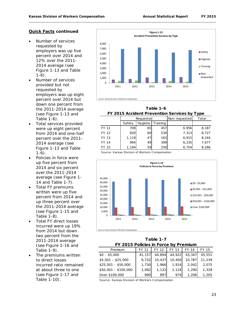#### **Quick Facts continued**

- Number of services requested by employers was up five percent over 2014 and 12% over the 2011- 2014 average (see Figure 1-13 and Table  $1-6$ ).
- Number of services provided but not requested by employers was up eight percent over 2014 but down one percent from the 2011-2014 average (see Figure 1-13 and Table 1-6).
- Total services provided were up eight percent from 2014 and one-half percent over the 2011- 2014 average (see Figure 1-13 and Table  $1-6$ ).
- Policies in force were up five percent from 2014 and six percent over the 2011-2014 average (see Figure 1- 14 and Table 1-7).
- Total FY premiums written were up five percent from 2014 and up three percent over the 2011-2014 average (see Figure 1-15 and Table 1-8).
- Total FY direct losses incurred were up 19% from 2014 but down two percent from the 2011-2014 average (see Figure 1-16 and Table 1-9).
- The premiums written to direct losses incurred ratio remained at about three to one (see Figure 1-17 and Table 1-10).



**Table 1-6**

#### **FY 2015 Accident Prevention Services by Type**

|              | Requested |         |          | Non-requested | Total |
|--------------|-----------|---------|----------|---------------|-------|
|              | Safety    | Hygiene | Training |               |       |
| <b>FY 11</b> | 709       | 65      | 457      | 6,956         | 8,187 |
| FY 12        | 820       | 60      | 534      | 7,313         | 8,727 |
| FY 13        | 1,119     | 47      | 163      | 6,915         | 8,244 |
| FY 14        | 994       | 49      | 399      | 6,235         | 7,677 |
| FY 15        | 1,194     | 59      | 259      | 6,754         | 8,266 |

Source: Kansas Division of Workers Compensation



**FY 2015 Policies in Force by Premium Table 1-7**

|                      | . . = -<br>. |        |        |        |        |  |  |
|----------------------|--------------|--------|--------|--------|--------|--|--|
| Premium              | FY 11        | FY 12  | FY 13  | FY 14  | FY 15  |  |  |
| $$0 - $5,000$        | 41,157       | 44.894 | 44,922 | 43,347 | 45,551 |  |  |
| $$5,001 - $25,000$   | 9,732        | 10.437 | 10,450 | 10.787 | 11,239 |  |  |
| $$25,001 - $50,000$  | 1,730        | 1,966  | 1.914  | 2.042  | 2,075  |  |  |
| \$50,001 - \$100,000 | 1,082        | 1,132  | 1,124  | 1,290  | 1,328  |  |  |
| Over \$100,000       | 890          | 897    | 974    | 1,206  | 1,205  |  |  |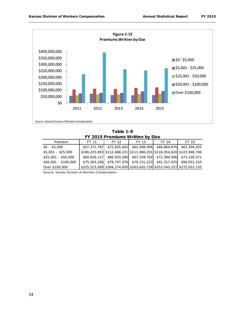

**Table 1-8 FY 2015 Premiums Written by Size**

| Premium              | FY 11        | FY 12        | FY 13        | FY 14        | FY 15                                                                 |
|----------------------|--------------|--------------|--------------|--------------|-----------------------------------------------------------------------|
| $$0 - $5,000$        | \$57,371,767 | \$72,635,602 | \$62,508,094 | \$60,864,676 | \$63,304,025                                                          |
| \$5,001 - \$25,000   |              |              |              |              | \$106,225,693 \$112,468,221 \$111,460,201 \$118,054,620 \$122,948,706 |
| $$25,001 - $50,000$  | \$60,826,117 |              |              |              | \$66,933,280 \$67,258,702 \$72,384,906 \$73,128,571                   |
| \$50,001 - \$100,000 | \$75,363,296 |              |              |              |                                                                       |
| Over \$100,000       |              |              |              |              | \$225,523,009 \$394,274,050 \$263,620,726 \$253,543,257 \$272,022,133 |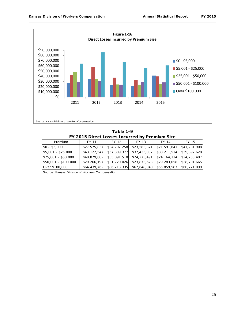

**Table 1-9 FY 2015 Direct Losses Incurred by Premium Size**

| Premium              | FY 11        | FY 12        | FY 13        | FY 14        | FY 15        |  |  |  |
|----------------------|--------------|--------------|--------------|--------------|--------------|--|--|--|
| $$0 - $5,000$        | \$27,575,837 | \$34,702,258 | \$23,583,371 | \$21,591,641 | \$41,281,908 |  |  |  |
| $$5,001 - $25,000$   | \$43,122,547 | \$57,309,377 | \$37,435,037 | \$33,211,514 | \$39,897,628 |  |  |  |
| \$25,001 - \$50,000  | \$48,079,602 | \$35,091,510 | \$24,273,491 | \$24,164,114 | \$24,753,407 |  |  |  |
| \$50,001 - \$100,000 | \$29,266,197 | \$31,720,026 | \$23,873,623 | \$29,283,058 | \$28,701,665 |  |  |  |
| Over \$100,000       | \$64,439,762 | \$86,213,335 | \$67,648,040 | \$55,859,587 | \$60,771,099 |  |  |  |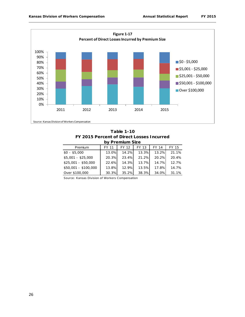

**Table 1-10 FY 2015 Percent of Direct Losses Incurred by Premium Size**

|                      |       | 19119111912 |       |              |       |
|----------------------|-------|-------------|-------|--------------|-------|
| Premium              | FY 11 | FY 12       | FY 13 | FY 14        | FY 15 |
| $$0 - $5,000$        | 13.0% | 14.2%       | 13.3% | 13.2%        | 21.1% |
| $$5,001 - $25,000$   | 20.3% | 23.4%       | 21.2% | 20.2%        | 20.4% |
| $$25,001 - $50,000$  | 22.6% | 14.3%       | 13.7% | 14.7%        | 12.7% |
| \$50,001 - \$100,000 | 13.8% | 12.9%       | 13.5% | <b>17.8%</b> | 14.7% |
| Over \$100,000       | 30.3% | 35.2%       | 38.3% | 34.0%        | 31.1% |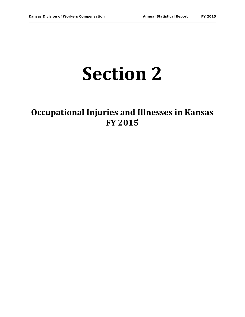## **Section 2**

## **Occupational Injuries and Illnesses in Kansas FY 2015**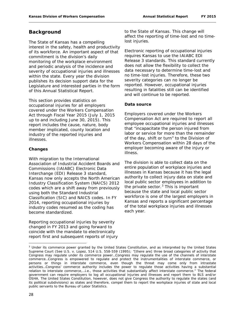#### **Background**

The State of Kansas has a compelling interest in the safety, health and productivity of its workforce. An important aspect of that commitment is the division's daily monitoring of the workplace environment and periodic analysis of the incidence and severity of occupational injuries and illnesses within the state. Every year the division publishes its decision support data for the Legislature and interested parties in the form of this *Annual Statistical Report*.

This section provides statistics on occupational injuries for all employers covered under the Workers Compensation Act through Fiscal Year 2015 (July 1, 2015 up to and including June 30, 2015). This report includes the cause, nature, body member implicated, county location and industry of the reported injuries and illnesses.

#### **Changes**

With migration to the International Association of Industrial Accident Boards and Commissions (IAIABC) Electronic Data Interchange (EDI) Release 3 standard, Kansas now only accepts the North American Industry Classification System (NAICS) 2012 codes which are a shift away from previously using both the Standard Industrial Classification (SIC) and NAICS codes. In FY 2014, reporting occupational injuries by industry codes resumed as the coding has become standardized.

Reporting occupational injuries by severity changed in FY 2013 and going forward to coincide with the mandate to electronically report first and subsequent reports of injury to the State of Kansas. This change will affect the reporting of time-lost and no timelost injuries.

Electronic reporting of occupational injuries requires Kansas to use the IAIABC EDI Release 3 standards. This standard currently does not allow the flexibility to collect the data necessary to determine time-lost and no time-lost injuries. Therefore, these two severity categories can no longer be reported. However, occupational injuries resulting in fatalities still can be identified and will continue to be reported.

#### **Data source**

Employers covered under the Workers Compensation Act are required to report all employee occupational injuries and illnesses that "incapacitate the person injured from labor or service for more than the remainder of the day, shift or turn" to the Division of Workers Compensation within 28 days of the employer becoming aware of the injury or illness.

The division is able to collect data on the entire population of workplace injuries and illnesses in Kansas because it has the legal authority to collect injury data on state and local public sector employees in addition to the private sector. $3$  This is important because the state and local public sector workforce is one of the largest employers in Kansas and reports a significant percentage of the total workplace injuries and illnesses each year.

<span id="page-40-0"></span> $\overline{\phantom{a}}$ <sup>3</sup> Under its commerce power granted by the United States Constitution, and as interpreted by the United States Supreme Court (See *U.S.* v. *Lopez*, 514 U.S. 558-559 (1995); "[there are] three broad categories of activity that Congress may regulate under its commerce power…Congress may regulate the use of the channels of interstate commerce…Congress is empowered to regulate and protect the instrumentalities of interstate commerce, or persons or things in interstate commerce, even though the threat may come only from intrastate activities…Congress' commerce authority includes the power to regulate those activities having a substantial relation to interstate commerce,…i.e., those activities that substantially affect interstate commerce." The federal government can require employers to log all occupational injuries and illnesses and report them to BLS and/or OSHA. The United States Constitution, however, does not give Congress the authority to regulate the states (and its political subdivisions) as states and therefore, compel them to report the workplace injuries of state and local public servants to the Bureau of Labor Statistics.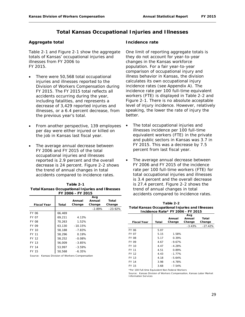#### **Total Kansas Occupational Injuries and Illnesses**

#### **Aggregate total**

Table 2-1 and Figure 2-1 show the aggregate totals of Kansas' occupational injuries and illnesses from FY 2006 to FY 2015.

- There were 50,568 total occupational injuries and illnesses reported to the Division of Workers Compensation during FY 2015. The FY 2015 total reflects all accidents occurring during the year, including fatalities, and represents a decrease of 3,429 reported injuries and illnesses, or a 6.4 percent decrease, from the previous year's total.
- From another perspective, 139 employees per day were either injured or killed on the job in Kansas last fiscal year.
- The average annual decrease between FY 2006 and FY 2015 of the total occupational injuries and illnesses reported is 2.9 percent and the overall decrease is 24 percent. Figure 2-2 shows the trend of annual changes in total accidents compared to incidence rates.

| Table 2-1                                               |
|---------------------------------------------------------|
| <b>Total Kansas Occupational Injuries and Illnesses</b> |
| FY 2006 - FY 2015                                       |

| <b>Fiscal Year</b>                               | Total  | Annual<br>Change | Avg<br>Annual<br>Change | Total<br>Change |
|--------------------------------------------------|--------|------------------|-------------------------|-----------------|
|                                                  |        |                  | $-2.89%$                | $-23.92\%$      |
| FY 06                                            | 66.469 |                  |                         |                 |
| FY 07                                            | 69,211 | 4.13%            |                         |                 |
| FY 08                                            | 70,263 | 1.52%            |                         |                 |
| FY 09                                            | 63.130 | $-10.15%$        |                         |                 |
| FY 10                                            | 58.188 | $-7.83%$         |                         |                 |
| FY 11                                            | 58.296 | 0.19%            |                         |                 |
| FY 12                                            | 58,252 | $-0.08%$         |                         |                 |
| FY 13                                            | 56.009 | $-3.85%$         |                         |                 |
| FY 14                                            | 53.997 | $-3.59%$         |                         |                 |
| FY 15                                            | 50,568 | $-6.35%$         |                         |                 |
| Coursey, Kansas Division of Warkers Compansation |        |                  |                         |                 |

Source: Kansas Division of Workers Compensation

#### **Incidence rate**

One limit of reporting aggregate totals is they do not account for year-to-year changes in the Kansas workforce population. For a fair year-to-year comparison of occupational injury and illness behavior in Kansas, the division calculates its own occupational injury incidence rates (see Appendix A). The incidence rate per 100 full-time equivalent workers (FTE) is displayed in Table 2-2 and Figure 2-1. There is no absolute acceptable level of injury incidence. However, relatively speaking, the lower the rate of injury the better.

- The total occupational injuries and illnesses incidence per 100 full-time equivalent workers (FTE) in the private and public sectors in Kansas was 3.7 in FY 2015. This was a decrease by 7.5 percent from last fiscal year.
- The average annual decrease between FY 2006 and FY 2015 of the incidence rate per 100 full-time workers (FTE) for total occupational injuries and illnesses is 3.4 percent and the overall decrease is 27.4 percent. Figure 2-2 shows the trend of annual changes in total accidents compared to incidence rates.

| Table 2-2                                               |
|---------------------------------------------------------|
| <b>Total Kansas Occupational Injuries and Illnesses</b> |
| Incidence Rate* FY 2006 - FY 2015                       |

|                    |       |          | Avg      |           |
|--------------------|-------|----------|----------|-----------|
|                    |       | Annual   | Annual   | Total     |
| <b>Fiscal Year</b> | Total | Change   | Change   | Change    |
|                    |       |          | $-3.43%$ | $-27.42%$ |
| FY 06              | 5.07  |          |          |           |
| <b>FY 07</b>       | 5.15  | 1.58%    |          |           |
| <b>FY 08</b>       | 5.17  | 0.39%    |          |           |
| FY 09              | 4.67  | $-9.67%$ |          |           |
| FY 10              | 4.47  | $-4.28%$ |          |           |
| FY 11              | 4.51  | 0.89%    |          |           |
| FY 12              | 4.43  | $-1.77%$ |          |           |
| FY 13              | 4.18  | $-5.64%$ |          |           |
| FY 14              | 3.98  | $-4.78%$ |          |           |
| FY 15              | 3.68  | $-7.54%$ |          |           |

\*Per 100 Full-time Equivalent Non-Federal Workers

Source: Kansas Division of Workers Compensation, Kansas Labor Market Information Services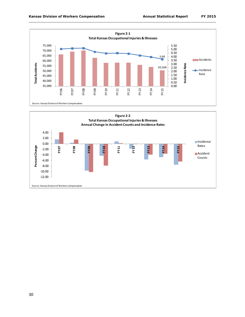

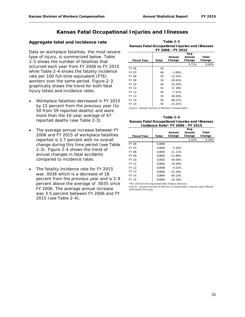#### **Kansas Fatal Occupational Injuries and Illnesses**

#### **Aggregate total and incidence rate**

Data on workplace fatalities, the most severe type of injury, is summarized below. Table 2-3 shows the number of fatalities that occurred each year from FY 2006 to FY 2015 while Table 2-4 shows the fatality incidence rate per 100 full-time equivalent (FTE) workers over the same period. Figure 2-3 graphically shows the trend for both fatal injury totals and incidence rates.

- Workplace fatalities decreased in FY 2015 by 15 percent from the previous year (to 50 from 59 reported deaths) and were more than the 10-year average of 47 reported deaths (see Table 2-3).
- The average annual increase between FY 2006 and FY 2015 of workplace fatalities reported is 3.7 percent with no overall change during this time period (see Table 2-3). Figure 2-4 shows the trend of annual changes in fatal accidents compared to incidence rates.
- The fatality incidence rate for FY 2015 was .0036 which is a decrease of 18 percent from the previous year and is 2.9 percent above the average of .0035 since FY 2006. The average annual increase was 3.5 percent between FY 2006 and FY 2015 (see Table 2-4).

| Table 2-3                                        |
|--------------------------------------------------|
| Kansas Fatal Occupational Injuries and Illnesses |
| FY 2006 - FY 2015                                |

|                    |       |            | Avg    |        |
|--------------------|-------|------------|--------|--------|
|                    |       | Annual     | Annual | Total  |
| <b>Fiscal Year</b> | Total | Change     | Change | Change |
|                    |       |            | 3.71%  | 0.00%  |
| FY 06              | 50    |            |        |        |
| <b>FY 07</b>       | 49    | $-2.00\%$  |        |        |
| <b>FY 08</b>       | 43    | $-12.24%$  |        |        |
| FY 09              | 34    | $-20.93%$  |        |        |
| FY 10              | 46    | 35.29%     |        |        |
| FY 11              | 54    | 17.39%     |        |        |
| FY 12              | 50    | $-7.41%$   |        |        |
| FY 13              | 35    | $-30.00\%$ |        |        |
| FY 14              | 59    | 68.57%     |        |        |
| FY 15              | 50    | $-15.25%$  |        |        |

Source: Kansas Division of Workers Compensation

**Kansas Fatal Occupational Injuries and Illnesses Incidence Rate\* FY 2006 - FY 2015 Table 2-4**

| Total  | Annual<br>Change | Avg<br>Annual<br>Change | Total<br>Change |
|--------|------------------|-------------------------|-----------------|
|        |                  | 3.52%                   | $-5.26%$        |
| 0.0038 |                  |                         |                 |
| 0.0036 | $-5.26%$         |                         |                 |
| 0.0032 | $-11.11%$        |                         |                 |
| 0.0025 | $-21.88%$        |                         |                 |
| 0.0035 | 40.00%           |                         |                 |
| 0.0042 | 20.00%           |                         |                 |
| 0.0038 | $-9.52%$         |                         |                 |
| 0.0026 | $-31.58%$        |                         |                 |
| 0.0044 | 69.23%           |                         |                 |
| 0.0036 | $-18.18%$        |                         |                 |
|        |                  |                         |                 |

\*Per 100 Full-time Equivalent Non-Federal Workers

Source: Kansas Division of Workers Compensation, Kansas Labor Market Information Services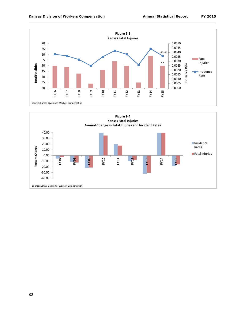

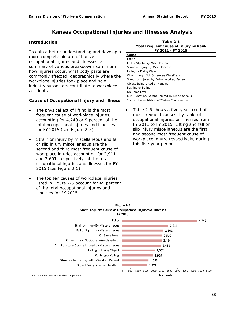#### **Kansas Occupational Injuries and Illnesses Analysis**

#### **Introduction**

To gain a better understanding and develop a more complete picture of Kansas occupational injuries and illnesses, a summary of various breakdowns can inform how injuries occur, what body parts are commonly affected, geographically where the workplace injuries took place and how industry subsectors contribute to workplace accidents.

#### **Cause of Occupational Injury and Illness**

- The physical act of lifting is the most frequent cause of workplace injuries, accounting for 4,749 or 9 percent of the total occupational injuries and illnesses for FY 2015 (see Figure 2-5).
- Strain or injury by miscellaneous and fall or slip injury miscellaneous are the second and third most frequent cause of workplace injuries accounting for 2,911 and 2,601, respectively, of the total occupational injuries and illnesses for FY 2015 (see Figure 2-5).
- The top ten causes of workplace injuries listed in Figure 2-5 account for 49 percent of the total occupational injuries and illnesses for FY 2015.

**Table 2-5 FY 2011 - FY 2015 Most Frequent Cause of Injury by Rank**

| Cause                                           |
|-------------------------------------------------|
| Lifting                                         |
| Fall or Slip Injury Miscellaneous               |
| Strain or Injury By Miscellaneous               |
| Falling or Flying Object                        |
| Other Injury (Not Otherwise Classified)         |
| Struck or Injured by Fellow Worker, Patient     |
| Object Being Lifted or Handled                  |
| Pushing or Pulling                              |
| On Same Level                                   |
| Cut, Puncture, Scrape Injured By Miscellaneous  |
| Source: Kansas Division of Workers Compensation |

Table 2-5 shows a five-year trend of most frequent causes, by rank, of occupational injuries or illnesses from FY 2011 to FY 2015. Lifting and fall or slip injury miscellaneous are the first and second most frequent cause of workplace injury, respectively, during this five-year period.

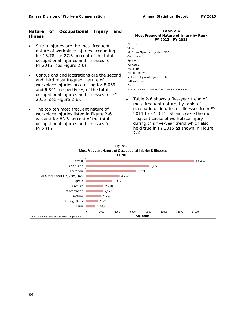#### **Nature of Occupational Injury and Illness**

- Strain injuries are the most frequent nature of workplace injuries accounting for 13,784 or 27.3 percent of the total occupational injuries and illnesses for FY 2015 (see Figure 2-6).
- Contusions and lacerations are the second and third most frequent nature of workplace injuries accounting for 8,059 and 6,391, respectively, of the total occupational injuries and illnesses for FY 2015 (see Figure 2-6).
- The top ten most frequent nature of workplace injuries listed in Figure 2-6 account for 88.6 percent of the total occupational injuries and illnesses for FY 2015.

**Table 2-6 Most Frequent Nature of Injury by Rank FY 2011 - FY 2015**

| <b>Nature</b>                    |
|----------------------------------|
| Strain                           |
| All Other Specific Injuries, NOC |
| Contusion                        |
| Sprain                           |
| Puncture                         |
| Fracture                         |
| Foreign Body                     |
| Multiple Physical Injuries Only  |
| Inflammation                     |
| Burn                             |

Source: Kansas Division of Workers Compensation

Table 2-6 shows a five-year trend of most frequent nature, by rank, of occupational injuries or illnesses from FY 2011 to FY 2015. Strains were the most frequent cause of workplace injury during this five-year trend which also held true in FY 2015 as shown in Figure 2-6.

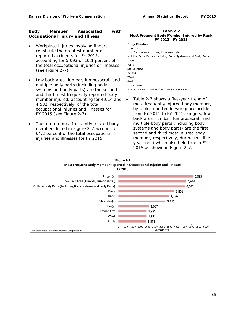#### **Body Member Associated with Occupational Injury and Illness**

- Workplace injuries involving fingers constitute the greatest number of reported accidents for FY 2015, accounting for 5,093 or 10.1 percent of the total occupational injuries or illnesses (see Figure 2-7).
- Low back area (lumbar, lumbosacral) and multiple body parts (including body systems and body parts) are the second and third most frequently reported body member injured, accounting for 4,614 and  $\bullet$ 4,532, respectively, of the total occupational injuries and illnesses for FY 2015 (see Figure 2-7).
- The top ten most frequently injured body members listed in Figure 2-7 account for 64.2 percent of the total occupational injuries and illnesses for FY 2015.

**Table 2-7 FY 2011 - FY 2015 Most Frequent Body Member Injured by Rank**

| <b>Body Member</b>                                          |
|-------------------------------------------------------------|
| Finance(s)                                                  |
| Low Back Area (Lumbar, Lumbosacral)                         |
| Multiple Body Parts (Including Body Systems and Body Parts) |
| Knee                                                        |
| Hand                                                        |
| Shoulder(s)                                                 |
| Eye(s)                                                      |
| Wrist                                                       |
| Ankle                                                       |
| Lower Arm                                                   |

Source: Kansas Division of Workers Compensation

Table 2-7 shows a five-year trend of most frequently injured body member, by rank, reported in workplace accidents from FY 2011 to FY 2015. Fingers, low back area (lumbar, lumbrosacral) and multiple body parts (including body systems and body parts) are the first, second and third most injured body member, respectively, during this fiveyear trend which also held true in FY 2015 as shown in Figure 2-7.

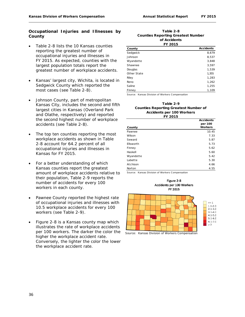#### **Occupational Injuries and Illnesses by County**

- Table 2-8 lists the 10 Kansas counties reporting the greatest number of occupational injuries and illnesses in FY 2015. As expected, counties with the largest population totals report the greatest number of workplace accidents.
- Kansas' largest city, Wichita, is located in Sedgwick County which reported the most cases (see Table 2-8).
- Johnson County, part of metropolitan Kansas City, includes the second and fifth largest cities in Kansas (Overland Park and Olathe, respectively) and reported the second highest number of workplace accidents (see Table 2-8).
- The top ten counties reporting the most workplace accidents as shown in Table 2-8 account for 64.2 percent of all occupational injuries and illnesses in Kansas for FY 2015.
- For a better understanding of which Kansas counties report the greatest amount of workplace accidents relative to their population, Table 2-9 reports the number of accidents for every 100 workers in each county.
- Pawnee County reported the highest rate of occupational injuries and illnesses with 10.5 workplace accidents for every 100 workers (see Table 2-9).
- Figure 2-8 is a Kansas county map which illustrates the rate of workplace accidents per 100 workers. The darker the color the higher the workplace accident rate. Conversely, the lighter the color the lower the workplace accident rate.

#### **Table 2-8 of Accidents FY 2015 Counties Reporting Greatest Number**

| County      | <b>Accidents</b> |
|-------------|------------------|
| Sedgwick    | 8,679            |
| Johnson     | 8,537            |
| Wyandotte   | 3,848            |
| Shawnee     | 3,597            |
| Douglas     | 1,539            |
| Other State | 1,355            |
| Riley       | 1,283            |
| Reno        | 1,262            |
| Saline      | 1,255            |
| Finney      | 1,109            |

Source: Kansas Division of Workers Compensation

#### **Table 2-9 Counties Reporting Greatest Number of Accidents per 100 Workers FY 2015**

|           | <b>Accidents</b> |
|-----------|------------------|
|           | per 100          |
| County    | <b>Workers</b>   |
| Pawnee    | 10.45            |
| Wilson    | 7.33             |
| Seward    | 5.87             |
| Ellsworth | 5.73             |
| Finney    | 5.62             |
| Haskell   | 5.60             |
| Wyandotte | 5.42             |
| Labette   | 5.30             |
| Atchison  | 4.66             |
| Norton    | 4.55             |

Source: Kansas Division of Workers Compensation



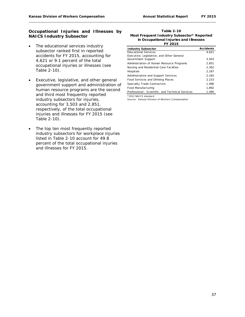#### **Occupational Injuries and Illnesses by NAICS Industry Subsector**

- The educational services industry subsector ranked first in reported accidents for FY 2015, accounting for 4,621 or 9.1 percent of the total occupational injuries or illnesses (see Table 2-10).
- Executive, legislative, and other general government support and administration of human resource programs are the second and third most frequently reported industry subsectors for injuries, accounting for 3,503 and 2,851, respectively, of the total occupational injuries and illnesses for FY 2015 (see Table 2-10).
- The top ten most frequently reported industry subsectors for workplace injuries listed in Table 2-10 account for 49.8 percent of the total occupational injuries and illnesses for FY 2015.

#### **Table 2-10 Most Frequent Industry Subsector\* Reported in Occupational Injuries and Illnesses FY 2015**

| <b>Industry Subsector</b>                        | <b>Accidents</b> |
|--------------------------------------------------|------------------|
| <b>Educational Services</b>                      | 4,621            |
| Executive, Legislative, and Other General        |                  |
| Government Support                               | 3.503            |
| Administration of Human Resource Programs        | 2.851            |
| Nursing and Residential Care Facilities          | 2.302            |
| Hospitals                                        | 2.187            |
| Administrative and Support Services              | 2.165            |
| Food Services and Drinking Places                | 2.153            |
| Specialty Trade Contractors                      | 1.996            |
| Food Manufacturing                               | 1.892            |
| Professional, Scientific, and Technical Services | 1,490            |

\*2012 NAICS standard Source: Kansas Division of Workers Compensation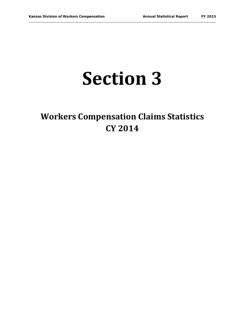## **Section 3**

## **Workers Compensation Claims Statistics CY 2014**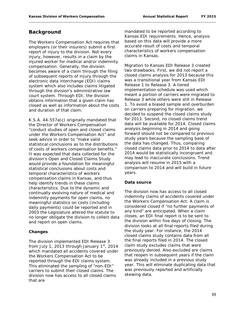#### **Background**

The Workers Compensation Act requires that employers (or their insurers) submit a first report of injury to the division. Not every injury, however, results in a claim by the injured worker for medical and/or indemnity compensation. Generally, the division becomes aware of a claim through the filing of subsequent reports of injury through the electronic data interchange (EDI) claims system which also includes claims litigated through the division's administrative law court system. Through EDI, the division obtains information that a given claim has closed as well as information about the costs and duration of that claim.

K.S.A. 44-557a(c) originally mandated that the Director of Workers Compensation "conduct studies of open and closed claims under the Workers Compensation Act" and seek advice in order to "make valid statistical conclusions as to the distributions of costs of workers compensation benefits." It was expected that data collected for the division's Open and Closed Claims Study would provide a foundation for meaningful statistical conclusions about costs and temporal characteristics of workers compensation claims in Kansas, and thus help identify trends in these claims characteristics. Due to the dynamic and continually evolving nature of medical and indemnity payments for open claims, no meaningful statistics on costs (including daily payments) could be reported and in 2003 the Legislature altered the statute to no longer obligate the division to collect data and report on open claims.

#### **Changes**

The division implemented EDI Release 3 from July 1, 2013 through January  $1<sup>st</sup>$ , 2014 which mandated all accidents covered under the Workers Compensation Act to be reported through the EDI claims system. This eliminated the sampling of "non-EDI" carriers to submit their closed claims. The division now has access to all closed claims that are

mandated to be reported according to Kansas EDI requirements. Hence, analysis based on this data will provide a more accurate result of costs and temporal characteristics of workers compensation claims in Kansas.

Migration to Kansas EDI Release 3 created two drawbacks. First, we did not report a closed claims analysis for 2013 because this was a transitional year from Kansas EDI Release 1 to Release 3. A tiered implementation schedule was used which meant a portion of carriers were migrated to Release 3 while others were still in Release 1. To avoid a biased sample and overburden on carriers preparing for migration, we decided to suspend the closed claims study for 2013. Second, no closed claims trend data will be available for 2014. Closed claims analysis beginning in 2014 and going forward should not be compared to previous study years because the sampling base of the data has changed. Thus, comparing closed claims data prior to 2014 to data after 2014 would be statistically incongruent and may lead to inaccurate conclusions. Trend analysis will resume in 2015 with a comparison to 2014 and will build in future years.

#### **Data source**

The division now has access to all closed indemnity claims of accidents covered under the Workers Compensation Act. A claim is considered closed if "no further payments of any kind" are anticipated. When a claim closes, an EDI final report is to be sent to the division within five days of closing. The division looks at all final reports filed during the study year. For instance, the 2014 closed claims study contains data from all the final reports filed in 2014. The closed claim study excludes claims that were previously denied. Also excluded are claims that reopen in subsequent years if the claim was already included in a previous study year. This will eliminate duplicating data that was previously reported and artificially skewing data.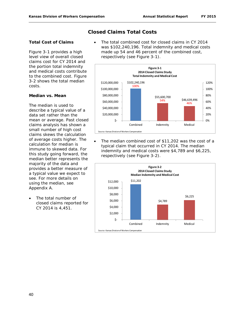#### **Closed Claims Total Costs**

#### **Total Cost of Claims**

Figure 3-1 provides a high level view of overall closed claims cost for CY 2014 and the portion total indemnity and medical costs contribute to the combined cost. Figure 3-2 shows the total median costs.

#### **Median vs. Mean**

The median is used to describe a typical value of a data set rather than the mean or average. Past closed claims analysis has shown a small number of high cost claims skews the calculation of average costs higher. The calculation for median is immune to skewed data. For this study going forward, the median better represents the majority of the data and provides a better measure of a typical value we expect to see. For more details on using the median, see Appendix A.

The total number of closed claims reported for CY 2014 is 4,451.

The total combined cost for closed claims in CY 2014 was \$102,240,196. Total indemnity and medical costs made up 54 and 46 percent of the combined cost, respectively (see Figure 3-1).



The median combined cost of \$11,202 was the cost of a typical claim that occurred in CY 2014. The median indemnity and medical costs were \$4,789 and \$6,225, respectively (see Figure 3-2).

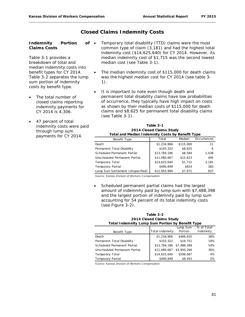#### **Closed Claims Indemnity Costs**

#### **Indemnity Portion of Claims Costs**

Table 3-1 provides a breakdown of total and median indemnity costs into benefit types for CY 2014. Table 3-2 separates the lump sum portion of indemnity costs by benefit type.

- The total number of closed claims reporting indemnity payments for CY 2014 is 4,306.
- 47 percent of total indemnity costs were paid through lump sum payments for CY 2014.
- Temporary total disability (TTD) claims were the most common type of claim (3,181) and had the highest total indemnity cost (\$14,625,640) for CY 2014. However, its median indemnity cost of \$1,715 was the second lowest median cost (see Table 3-1).
- The median indemnity cost of \$115,000 for death claims was the highest median cost for CY 2014 (see table 3- 1).
- It is important to note even though death and permanent total disability claims have low probabilities of occurrence, they typically have high impact on costs as shown by their median costs of \$115,000 for death claims and \$8,625 for permanent total disability claims (see Table 3-1).

| Table 3-1                                        |
|--------------------------------------------------|
| 2014 Closed Claims Study                         |
| Total and Median Indemnity Costs by Benefit Type |

| Benefit Type                      | Total        | Median    | Occurrences |
|-----------------------------------|--------------|-----------|-------------|
| Death                             | \$1,234,966  | \$115,000 | 11          |
| Permanent Total Disability        | \$103,322    | \$8,625   | 6           |
| Scheduled Permanent Partial       | \$13,784,186 | \$8,584   | 1,038       |
| Unscheduled Permanent Partial     | \$11,080,667 | \$15,623  | 495         |
| <b>Temporary Total</b>            | \$14,625,640 | \$1.715   | 3,181       |
| <b>Temporary Partial</b>          | \$490.849    | \$624     | 360         |
| Lump Sum Settlement (Unspecified) | \$12,955,994 | \$7.671   | 837         |

Source: Kansas Division of Workers Compensation

• Scheduled permanent partial claims had the largest amount of indemnity paid by lump sum with \$7,488,398 and the largest portion of indemnity paid by lump sum accounting for 54 percent of its total indemnity costs (see Figure 3-2).

| Table 3-2                                               |
|---------------------------------------------------------|
| 2014 Closed Claims Study                                |
| <b>Total Indemnity Lump Sum Portion by Benefit Type</b> |

|                               |                          | Lump Sum    | % of Total |
|-------------------------------|--------------------------|-------------|------------|
| Benefit Type                  | Total Indemnity          | Portion     | Indemnity  |
| Death                         | \$1,234,966              | \$466,635   | 38%        |
| Permanent Total Disability    | \$103,322                | \$19,751    | 19%        |
| Scheduled Permanent Partial   | \$13,784,186 \$7,488,398 |             | 54%        |
| Unscheduled Permanent Partial | \$11,080,667             | \$3,950,266 | 36%        |
| Temporary Total               | \$14,625,640             | \$598.687   | 4%         |
| Temporary Partial             | \$490,849                | \$9,455     | 2%         |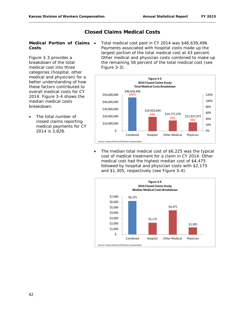#### **Closed Claims Medical Costs**

#### **Medical Portion of Claims Costs**

Figure 3-3 provides a breakdown of the total medical cost into three categories (hospital, other medical and physician) for a better understanding of how these factors contributed to overall medical costs for CY 2014. Figure 3-4 shows the median medical costs breakdown.

The total number of closed claims reporting medical payments for CY 2014 is 3,828.

• Total medical cost paid in CY 2014 was \$46,639,496. Payments associated with hospital costs made up the largest portion of the total medical cost at 43 percent. Other medical and physician costs combined to make up the remaining 58 percent of the total medical cost (see Figure 3-3).



The median total medical cost of \$6,225 was the typical cost of medical treatment for a claim in CY 2014. Other medical cost had the highest median cost of \$4,475 followed by hospital and physician costs with \$2,175 and \$1,305, respectively (see Figure 3-4).

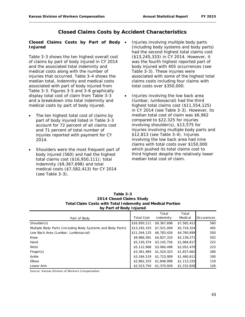#### **Closed Claims Costs by Accident Characteristics**

#### **Closed Claims Costs by Part of Body Injured**

Table 3-3 shows the ten highest overall cost of claims by part of body injured in CY 2014 and the associated total indemnity and medical costs along with the number of injuries that occurred. Table 3-4 shows the median total, indemnity and medical costs associated with part of body injured from Table 3-3. Figures 3-5 and 3-6 graphically display total cost of claim from Table 3-3 and a breakdown into total indemnity and medical costs by part of body injured.

- The ten highest total cost of claims by part of body injured listed in Table 3-3 account for 72 percent of all claims cost and 71 percent of total number of injuries reported with payment for CY 2014.
- Shoulders were the most frequent part of body injured (560) and had the highest total claims cost (\$16,950,111); total indemnity (\$9,367,698) and total medical costs (\$7,582,413) for CY 2014 (see Table 3-3).
- Injuries involving multiple body parts (including body systems and body parts) had the second highest total claims cost (\$13,245,333) in CY 2014. However, it was the fourth highest reported part of body injured with 405 occurrences (see Table 3-3). These injuries were associated with some of the highest total claims costs including four claims with total costs over \$350,000.
- Injuries involving the low back area (lumbar, lumbosacral) had the third highest total claims cost (\$11,554,125) in CY 2014 (see Table 3-3). However, its median total cost of claim was \$6,962 compared to \$22,325 for injuries involving shoulder(s), \$13,575 for injuries involving multiple body parts and \$12,813 (see Table 3-4). Injuries involving the low back area had nine claims with total costs over \$150,000 which pushed its total claims cost to third highest despite the relatively lower median total cost of claim.

| -<br>-                                                      |                   |                    |                  |            |
|-------------------------------------------------------------|-------------------|--------------------|------------------|------------|
| Part of Body                                                | <b>Total Cost</b> | Total<br>Indemnity | Total<br>Medical | Occurences |
| Shoulder(s)                                                 | \$16,950,111      | \$9,367,698        | \$7,582,413      | 560        |
|                                                             |                   |                    |                  | 405        |
| Multiple Body Parts (Including Body Systems and Body Parts) | \$13,245,333      | \$7,521,009        | \$5,724,324      |            |
| Low Back Area (Lumbar, Lumbosacral)                         | \$11,544,125      | \$6,783,426        | \$4,760,699      | 500        |
| Knee                                                        | \$9,966,581       | \$4,827,310        | \$5,139,271      | 502        |
| Hand                                                        | \$5,130,374       | \$3,145,756        | \$1,984,617      | 222        |
| Wrist                                                       | \$5,112,968       | \$3,060,498        | \$2,052,470      | 223        |
| Finger(s)                                                   | \$3,361,984       | \$1,524,323        | \$1,837,662      | 280        |
| Ankle                                                       | \$3,184,519       | \$1,723,909        | \$1,460,611      | 190        |
| Elbow                                                       | \$2,962,333       | \$1,848,998        | \$1,113,335      | 119        |
| Lower Arm                                                   | \$2,523,754       | \$1,370,926        | \$1,152,828      | 126        |

| Table 3-3                                                  |
|------------------------------------------------------------|
| 2014 Closed Claims Study                                   |
| Total Claim Costs with Total Indemnity and Medical Portion |
| by Part of Body Injured                                    |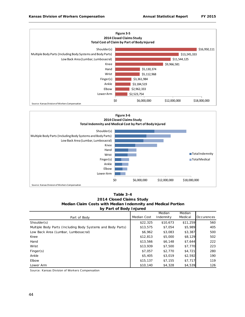



**Table 3-4 2014 Closed Claims Study Median Claim Costs with Median Indemnity and Medical Portion by Part of Body Injured**

|                                                             |             | Median    | Median   |            |
|-------------------------------------------------------------|-------------|-----------|----------|------------|
| Part of Body                                                | Median Cost | Indemnity | Medical  | Occurences |
| Shoulder(s)                                                 | \$22,325    | \$10.673  | \$11,259 | 560        |
| Multiple Body Parts (Including Body Systems and Body Parts) | \$13,575    | \$7,054   | \$5,989  | 405        |
| Low Back Area (Lumbar, Lumbosacral)                         | \$6,962     | \$3,083   | \$3,387  | 500        |
| Knee                                                        | \$12,813    | \$5,000   | \$8,129  | 502        |
| Hand                                                        | \$13,566    | \$6,148   | \$7,644  | 222        |
| Wrist                                                       | \$13,939    | \$7,500   | \$7,770  | 223        |
| Finger(s)                                                   | \$7,057     | \$2,770   | \$4,721  | 280        |
| Ankle                                                       | \$5,405     | \$3,019   | \$2,592  | 190        |
| Elbow                                                       | \$15,137    | \$7.155   | \$7,717  | 119        |
| Lower Arm                                                   | \$10,140    | \$4,328   | \$4,539  | 126        |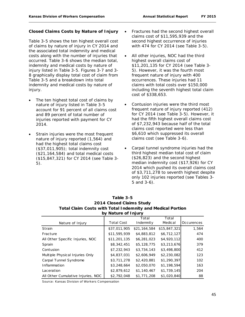#### **Closed Claims Costs by Nature of Injury**

Table 3-5 shows the ten highest overall cost of claims by nature of injury in CY 2014 and the associated total indemnity and medical costs along with the number of injuries that occurred. Table 3-6 shows the median total, indemnity and medical costs by nature of injury listed in Table 3-5. Figures 3-7 and 3- 8 graphically display total cost of claim from Table 3-5 and a breakdown into total indemnity and medical costs by nature of injury.

- The ten highest total cost of claims by nature of injury listed in Table 3-5 account for 91 percent of all claims cost and 89 percent of total number of injuries reported with payment for CY 2014.
- Strain injuries were the most frequent nature of injury reported (1,564) and had the highest total claims cost (\$37,011,905); total indemnity cost (\$21,164,584) and total medical costs (\$15,847,321) for CY 2014 (see Table 3- 5).
- Fractures had the second highest overall claims cost of \$11,595,939 and the second highest occurrence of injuries with 474 for CY 2014 (see Table 3-5).
- All other injuries, NOC had the third highest overall claims cost of \$11,201,135 for CY 2014 (see Table 3- 5). However, it was the fourth most frequent nature of injury with 400 occurrences. These injuries had 11 claims with total costs over \$150,000 including the seventh highest total claim cost of \$338,653.
- Contusion injuries were the third most frequent nature of injury reported (412) for CY 2014 (see Table 3-5). However, it had the fifth highest overall claims cost of \$7,232,943 because half of the total claims cost reported were less than \$6,610 which suppressed its overall claims cost (see Table 3-6).
- Carpal tunnel syndrome injuries had the third highest median total cost of claim (\$26,823) and the second highest median indemnity cost (\$17,926) for CY 2014 which pushed its overall claims cost of \$3,711,278 to seventh highest despite only 102 injuries reported (see Tables 3- 5 and 3-6).

#### **Table 3-5 2014 Closed Claims Study Total Claim Costs with Total Indemnity and Medical Portion by Nature of Injury**

|                                    |                   | Total        | Total        |            |
|------------------------------------|-------------------|--------------|--------------|------------|
| Nature of Injury                   | <b>Total Cost</b> | Indemnity    | Medical      | Occurences |
| <b>Strain</b>                      | \$37,011,905      | \$21,164,584 | \$15,847,321 | 1,564      |
| Fracture                           | \$11,595,939      | \$4,883,812  | \$6,712,127  | 474        |
| All Other Specific Injuries, NOC   | \$11,201,135      | \$6,281,023  | \$4,920,112  | 400        |
| Sprain                             | \$8,342,451       | \$5,128,775  | \$3,213,676  | 379        |
| Contusion                          | \$7,232,943       | \$3,734,143  | \$3,498,800  | 412        |
| Multiple Physical Injuries Only    | \$4,837,031       | \$2,606,949  | \$2,230,082  | 123        |
| Carpal Tunnel Syndrome             | \$3,711,278       | \$2,420,881  | \$1,290,397  | 102        |
| Inflammation                       | \$3,248,664       | \$2,050,070  | \$1,198,594  | 163        |
| Laceration                         | \$2,879,612       | \$1,140,467  | \$1,739,145  | 204        |
| All Other Cumulative Injuries, NOC | \$2,792,048       | \$1,771,208  | \$1,020,840  | 88         |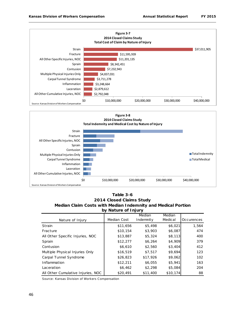



**Table 3-6 2014 Closed Claims Study Median Claim Costs with Median Indemnity and Medical Portion by Nature of Injury**

|                                    |             | Median    | Median   |            |
|------------------------------------|-------------|-----------|----------|------------|
| Nature of Injury                   | Median Cost | Indemnity | Medical  | Occurences |
| Strain                             | \$11,656    | \$5,498   | \$6,021  | 1,564      |
| Fracture                           | \$10,154    | \$3,903   | \$6,087  | 474        |
| All Other Specific Injuries, NOC   | \$13,887    | \$5,324   | \$8,113  | 400        |
| Sprain                             | \$12,277    | \$6,264   | \$4,909  | 379        |
| Contusion                          | \$6,610     | \$2,560   | \$3,404  | 412        |
| Multiple Physical Injuries Only    | \$16,519    | \$7,517   | \$9,694  | 123        |
| Carpal Tunnel Syndrome             | \$26,823    | \$17,926  | \$9,062  | 102        |
| Inflammation                       | \$12,211    | \$6,055   | \$5,941  | 163        |
| Laceration                         | \$6,462     | \$2,298   | \$5,084  | 204        |
| All Other Cumulative Injuries, NOC | \$20,491    | \$11,400  | \$10,174 | 88         |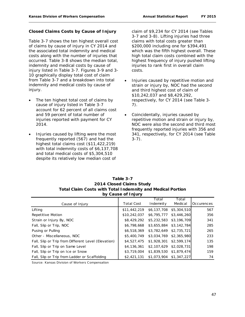#### **Closed Claims Costs by Cause of Injury**

Table 3-7 shows the ten highest overall cost of claims by cause of injury in CY 2014 and the associated total indemnity and medical costs along with the number of injuries that occurred. Table 3-8 shows the median total, indemnity and medical costs by cause of injury listed in Table 3-7. Figures 3-9 and 3- 10 graphically display total cost of claim from Table 3-7 and a breakdown into total indemnity and medical costs by cause of injury.

- The ten highest total cost of claims by cause of injury listed in Table 3-7 account for 62 percent of all claims cost and 59 percent of total number of injuries reported with payment for CY 2014.
- Injuries caused by lifting were the most frequently reported (567) and had the highest total claims cost (\$11,422,219) with total indemnity costs of \$6,137,708 and total medical costs of \$5,304,510 despite its relatively low median cost of

claim of \$9,234 for CY 2014 (see Tables 3-7 and 3-8). Lifting injuries had three claims with total costs greater than \$200,000 including one for \$394,491 which was the fifth highest overall. These high total claim costs combined with the highest frequency of injury pushed lifting injuries to rank first in overall claim costs.

- Injuries caused by repetitive motion and strain or injury by, NOC had the second and third highest cost of claim of \$10,242,037 and \$8,429,292, respectively, for CY 2014 (see Table 3- 7).
- Coincidentally, injuries caused by repetitive motion and strain or injury by, NOC were also the second and third most frequently reported injuries with 356 and 341, respectively, for CY 2014 (see Table 3-7).

| Table 3-7                                                         |
|-------------------------------------------------------------------|
| 2014 Closed Claims Study                                          |
| <b>Total Claim Costs with Total Indemnity and Medical Portion</b> |
| by Cause of Injury                                                |

|                                                     |                   | Total                   | Total                   |            |
|-----------------------------------------------------|-------------------|-------------------------|-------------------------|------------|
| Cause of Injury                                     | <b>Total Cost</b> | Indemnity               | Medical                 | Occurences |
| Lifting                                             | \$11,442,219      | \$6,137,708 \$5,304,510 |                         | 567        |
| Repetitive Motion                                   | \$10,242,037      |                         | \$6,795,777 \$3,446,260 | 356        |
| Strain or Injury By, NOC                            | \$8,429,292       | \$5,232,583 \$3,196,709 |                         | 341        |
| Fall, Slip or Trip, NOC                             | \$6,798,668       | \$3,655,884 \$3,142,784 |                         | 285        |
| Pusing or Pulling                                   | \$6,518,369       | \$3,782,649 \$2,735,721 |                         | 265        |
| Other - Miscellaneous, NOC                          | \$5,400,749       | \$3,034,769 \$2,365,980 |                         | 233        |
| Fall, Slip or Trip from Different Level (Elevation) | \$4,527,475       |                         | \$1,928,301 \$2,599,174 | 135        |
| Fall, Slip or Trip on Same Level                    | \$4,136,361       |                         | \$2,107,629 \$2,028,731 | 198        |
| Fall, Slip or Trip on Ice or Snow                   | \$3,719,004       | \$1,839,530 \$1,879,474 |                         | 159        |
| Fall, Slip or Trip from Ladder or Scaffolding       | \$2,421,131       | \$1,073,904 \$1,347,227 |                         | 74         |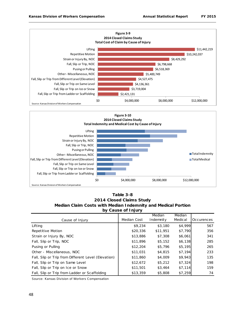



**2014 Closed Claims Study Median Claim Costs with Median Indemnity and Medical Portion by Cause of Injury Table 3-8**

|                                                     |             | Median    | Median  |            |
|-----------------------------------------------------|-------------|-----------|---------|------------|
| Cause of Injury                                     | Median Cost | Indemnity | Medical | Occurences |
| Lifting                                             | \$9,234     | \$3,180   | \$4,999 | 567        |
| Repetitive Motion                                   | \$20,336    | \$11,951  | \$7,790 | 356        |
| Strain or Injury By, NOC                            | \$13,886    | \$7,308   | \$6,061 | 341        |
| Fall, Slip or Trip, NOC                             | \$11,896    | \$5,152   | \$6,138 | 285        |
| Pusing or Pulling                                   | \$12,204    | \$5,796   | \$5,195 | 265        |
| Other - Miscellaneous, NOC                          | \$11,031    | \$4,815   | \$7,194 | 233        |
| Fall, Slip or Trip from Different Level (Elevation) | \$11,860    | \$4,009   | \$9,943 | 135        |
| Fall, Slip or Trip on Same Level                    | \$12,672    | \$5,212   | \$7,324 | 198        |
| Fall, Slip or Trip on Ice or Snow                   | \$11,501    | \$3,464   | \$7,114 | 159        |
| Fall, Slip or Trip from Ladder or Scaffolding       | \$13,359    | \$5,808   | \$7,259 | 74         |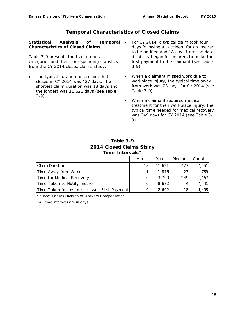#### **Temporal Characteristics of Closed Claims**

**Statistical Analysis of Temporal Characteristics of Closed Claims**

Table 3-9 presents the five temporal categories and their corresponding statistics from the CY 2014 closed claims study.

- The typical duration for a claim that closed in CY 2014 was 427 days. The shortest claim duration was 18 days and the longest was 11,621 days (see Table 3-9)
- For CY 2014, a typical claim took four days following an accident for an insurer to be notified and 18 days from the date disability began for insurers to make the first payment to the claimant (see Table 3-9).
- When a claimant missed work due to workplace injury, the typical time away from work was 23 days for CY 2014 (see Table 3-9).
- When a claimant required medical treatment for their workplace injury, the typical time needed for medical recovery was 249 days for CY 2014 (see Table 3- 9).

| Table 3-9                |
|--------------------------|
| 2014 Closed Claims Study |
| Time Intervals*          |

|                                               | Min | Max    | Median | Count |
|-----------------------------------------------|-----|--------|--------|-------|
| <b>Claim Duration</b>                         | 18  | 11,621 | 427    | 4.451 |
| Time Away from Work                           |     | 1,876  | 23     | 759   |
| Time for Medical Recovery                     | O   | 3.790  | 249    | 2,167 |
| Time Taken to Notify Insurer                  | O   | 8.672  | 4      | 4,441 |
| Time Taken for Insurer to Issue First Payment | O   | 2.692  | 18     | 1.495 |

Source: Kansas Division of Workers Compensation

\*All time intervals are in days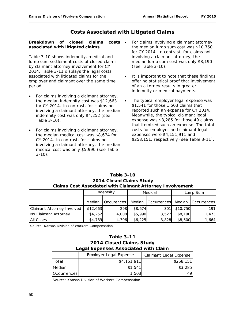#### **Costs Associated with Litigated Claims**

#### **Breakdown of closed claims costs associated with litigated claims**

Table 3-10 shows indemnity, medical and lump sum settlement costs of closed claims by claimant attorney involvement for CY 2014. Table 3-11 displays the legal costs associated with litigated claims for the employer and claimant over the same time period.

- For claims involving a claimant attorney, the median indemnity cost was \$12,663 for CY 2014. In contrast, for claims not involving a claimant attorney, the median indemnity cost was only \$4,252 (see Table 3-10).
- For claims involving a claimant attorney, the median medical cost was \$8,674 for CY 2014. In contrast, for claims not involving a claimant attorney, the median medical cost was only \$5,990 (see Table 3-10).
- For claims involving a claimant attorney, the median lump sum cost was \$10,750 for CY 2014. In contrast, for claims not involving a claimant attorney, the median lump sum cost was only \$8,190 (see Table 3-10).
- It is important to note that these findings offer no statistical proof that involvement of an attorney results in greater indemnity or medical payments.
- The typical employer legal expense was \$1,541 for those 1,503 claims that reported such an expense for CY 2014. Meanwhile, the typical claimant legal expense was \$3,285 for those 49 claims that itemized such an expense. The total costs for employer and claimant legal expenses were \$4,151,911 and \$258,151, respectively (see Table 3-11).

#### **Claims Cost Associated with Claimant Attorney Involvement 2014 Closed Claims Study Table 3-10**

|                            | Indemnity |            | Medical |             | Lump Sum |             |
|----------------------------|-----------|------------|---------|-------------|----------|-------------|
|                            | Median    | Occurences | Median  | Occurrences | Median   | Occurrences |
| Claimant Attorney Involved | \$12,663  | 298        | \$8,674 | 301         | \$10,750 | 191         |
| No Claimant Attorney       | \$4,252   | 4,008      | \$5,990 | 3.527       | \$8,190  | 1.473       |
| All Cases                  | \$4,789   | 4,306      | \$6,225 | 3.828       | \$8,500  | 1,664       |

Source: Kansas Division of Workers Compensation

| <b>Table 3-11</b>                    |
|--------------------------------------|
| 2014 Closed Claims Study             |
| Legal Expenses Associated with Claim |

|             | <b>Employer Legal Expense</b> | Claimant Legal Expense |
|-------------|-------------------------------|------------------------|
| Total       | \$4,151,911                   | \$258,151              |
| Median      | \$1,541                       | \$3,285                |
| Occurrences | 1,503                         | 49                     |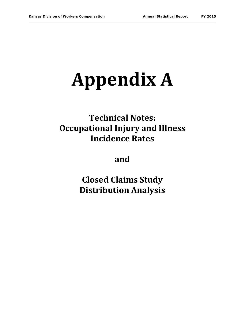# **Appendix A**

## **Technical Notes: Occupational Injury and Illness Incidence Rates**

**and**

**Closed Claims Study Distribution Analysis**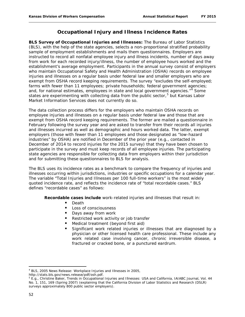#### **Occupational Injury and Illness Incidence Rates**

**BLS Survey of Occupational Injuries and Illnesses:** The Bureau of Labor Statistics (BLS), with the help of the state agencies, selects a non-proportional stratified probability sample of employment establishments and mails them questionnaires. Employers are instructed to record all nonfatal employee injury and illness incidents, number of days away from work for each recorded injury/illness, the number of employee hours worked and the establishment's average employment. Participants in the annual survey consist of employers who maintain Occupational Safety and Health Administration (OSHA) records on employee injuries and illnesses on a regular basis under federal law and smaller employers who are exempt from OSHA record keeping requirements. The survey "excludes the self-employed; farms with fewer than 11 employees; private households; federal government agencies; and, for national estimates, employees in state and local government agencies."<sup>[4](#page-64-0)</sup> Some states are experimenting with collecting data from the public sector,<sup>[5](#page-64-1)</sup> but Kansas Labor Market Information Services does not currently do so.

The data collection process differs for the employers who maintain OSHA records on employee injuries and illnesses on a regular basis under federal law and those that are exempt from OSHA record keeping requirements. The former are mailed a questionnaire in February following the survey year and are asked to transfer from their records all injuries and illnesses incurred as well as demographic and hours worked data. The latter, exempt employers (those with fewer than 11 employees and those designated as "low-hazard industries" by OSHA) are notified in December of the prior year (e.g., contacted in December of 2014 to record injuries for the 2015 survey) that they have been chosen to participate in the survey and must keep records of all employee injuries. The participating state agencies are responsible for collecting data from employers within their jurisdiction and for submitting these questionnaires to BLS for analysis.

The BLS uses its incidence rates as a benchmark to compare the frequency of injuries and illnesses occurring within jurisdictions, industries or specific occupations for a calendar year. The variable "Total Injuries and Illnesses per 100 full-time workers" is the most widely quoted incidence rate, and reflects the incidence rate of "total recordable cases." BLS defines "recordable cases" as follows:

**Recordable cases include** work-related injuries and illnesses that result in:

- **Death**
- Loss of consciousness
- Days away from work
- Restricted work activity or job transfer
- Medical treatment (beyond first aid)
- Significant work related injuries or illnesses that are diagnosed by a physician or other licensed health care professional. These include any work related case involving cancer, chronic irreversible disease, a fractured or cracked bone, or a punctured eardrum.

l

<span id="page-64-0"></span><sup>4</sup> BLS, 2005 News Release: *Workplace Injuries and Illnesses in 2005*,

http://stats.bls.gov/news.release/pdf/osh.pdf.

<span id="page-64-1"></span><sup>5</sup> E.g., Christine Baker, *Trends in Occupational Injuries and Illnesses: USA and California*, IAIABC Journal, Vol. 44 No. 1, 151, 169 (Spring 2007) (explaining that the California Division of Labor Statistics and Research (DSLR) surveys approximately 800 public sector employers).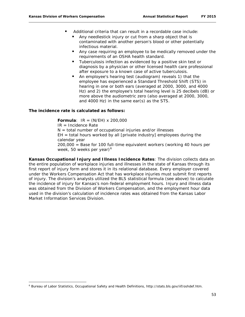- Additional criteria that can result in a recordable case include:
	- Any needlestick injury or cut from a sharp object that is contaminated with another person's blood or other potentially infectious material.
	- Any case requiring an employee to be medically removed under the requirements of an OSHA health standard.
	- **Tuberculosis infection as evidenced by a positive skin test or** diagnosis by a physician or other licensed health care professional after exposure to a known case of active tuberculosis.
	- An employee's hearing test (audiogram) reveals 1) that the employee has experienced a Standard Threshold Shift (STS) in hearing in one or both ears (averaged at 2000, 3000, and 4000 Hz) and 2) the employee's total hearing level is 25 decibels (dB) or more above the audiometric zero (also averaged at 2000, 3000, and 4000 Hz) in the same ear(s) as the STS.

#### **The incidence rate is calculated as follows:**

**Formula**:  $IR = (N/EH) \times 200,000$ 

IR = Incidence Rate

 $\overline{\phantom{a}}$ 

 $N =$  total number of occupational injuries and/or illnesses

 $EH = total$  hours worked by all [private industry] employees during the calendar year

200,000 = Base for 100 full-time equivalent workers (working 40 hours per week, 50 weeks per year) $<sup>6</sup>$  $<sup>6</sup>$  $<sup>6</sup>$ </sup>

**Kansas Occupational Injury and Illness Incidence Rates**: The division collects data on the entire population of workplace injuries and illnesses in the state of Kansas through its first report of injury form and stores it in its relational database. Every employer covered under the Workers Compensation Act that has workplace injuries must submit first reports of injury. The division's analysts utilized the BLS statistical formula (see above) to calculate the incidence of injury for Kansas's non-federal employment hours. Injury and illness data was obtained from the Division of Workers Compensation, and the employment hour data used in the division's calculation of incidence rates was obtained from the Kansas Labor Market Information Services Division.

<span id="page-65-0"></span><sup>6</sup> Bureau of Labor Statistics, *Occupational Safety and Health Definitions*, http://stats.bls.gov/iif/oshdef.htm.